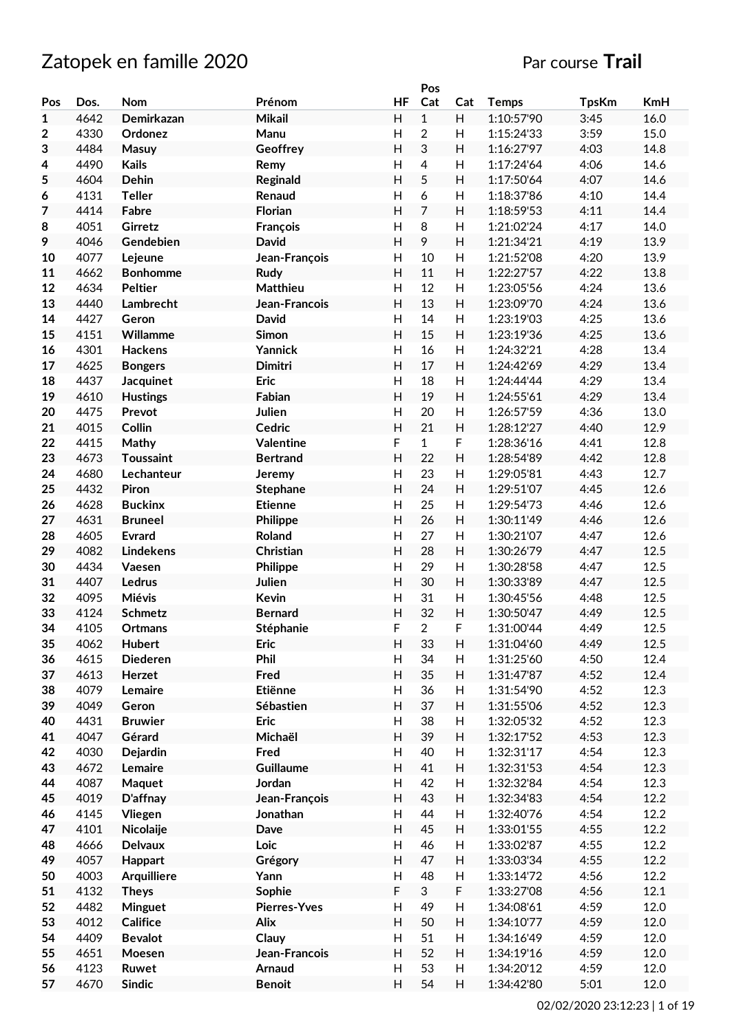# Zatopek en famille 2020 **Par course Trail**

|                  |      |                    |                     |                           | Pos            |                           |              |              |      |
|------------------|------|--------------------|---------------------|---------------------------|----------------|---------------------------|--------------|--------------|------|
| Pos              | Dos. | Nom                | Prénom              | <b>HF</b>                 | Cat            | Cat                       | <b>Temps</b> | <b>TpsKm</b> | KmH  |
| $\mathbf{1}$     | 4642 | Demirkazan         | <b>Mikail</b>       | H                         | $\mathbf{1}$   | H                         | 1:10:57'90   | 3:45         | 16.0 |
| $\boldsymbol{2}$ | 4330 | Ordonez            | Manu                | H                         | $\overline{c}$ | H                         | 1:15:24'33   | 3:59         | 15.0 |
| 3                | 4484 | Masuy              | Geoffrey            | H                         | 3              | H                         | 1:16:27'97   | 4:03         | 14.8 |
| 4                | 4490 | <b>Kails</b>       | Remy                | $\boldsymbol{\mathsf{H}}$ | 4              | H                         | 1:17:24'64   | 4:06         | 14.6 |
| 5                | 4604 | Dehin              | Reginald            | H                         | 5              | H                         | 1:17:50'64   | 4:07         | 14.6 |
|                  | 4131 | <b>Teller</b>      | Renaud              | H                         | 6              | H                         | 1:18:37'86   | 4:10         | 14.4 |
| 6                |      |                    |                     |                           |                |                           |              |              |      |
| 7                | 4414 | Fabre              | <b>Florian</b>      | H                         | $\overline{7}$ | H                         | 1:18:59'53   | 4:11         | 14.4 |
| 8                | 4051 | Girretz            | François            | H                         | 8              | H                         | 1:21:02'24   | 4:17         | 14.0 |
| 9                | 4046 | Gendebien          | <b>David</b>        | $\mathsf{H}$              | 9              | H                         | 1:21:34'21   | 4:19         | 13.9 |
| 10               | 4077 | Lejeune            | Jean-François       | H                         | 10             | $\mathsf{H}%$             | 1:21:52'08   | 4:20         | 13.9 |
| 11               | 4662 | <b>Bonhomme</b>    | <b>Rudy</b>         | H                         | 11             | H                         | 1:22:27'57   | 4:22         | 13.8 |
| 12               | 4634 | Peltier            | <b>Matthieu</b>     | H                         | 12             | H                         | 1:23:05'56   | 4:24         | 13.6 |
| 13               | 4440 | Lambrecht          | Jean-Francois       | H                         | 13             | H                         | 1:23:09'70   | 4:24         | 13.6 |
| 14               | 4427 | Geron              | <b>David</b>        | H                         | 14             | H                         | 1:23:19'03   | 4:25         | 13.6 |
| 15               | 4151 | Willamme           | Simon               | H                         | 15             | H                         | 1:23:19'36   | 4:25         | 13.6 |
| 16               | 4301 | Hackens            | Yannick             | H                         | 16             | H                         | 1:24:32'21   | 4:28         | 13.4 |
| 17               | 4625 | <b>Bongers</b>     | Dimitri             | H                         | 17             | H                         | 1:24:42'69   | 4:29         | 13.4 |
| 18               | 4437 | <b>Jacquinet</b>   | <b>Eric</b>         | H                         | 18             | H                         | 1:24:44'44   | 4:29         | 13.4 |
| 19               | 4610 | <b>Hustings</b>    | Fabian              | $\mathsf{H}$              | 19             | H                         | 1:24:55'61   | 4:29         | 13.4 |
| 20               | 4475 | Prevot             | Julien              | H                         | 20             | H                         | 1:26:57'59   | 4:36         | 13.0 |
| 21               | 4015 | Collin             | Cedric              | H                         | 21             | H                         | 1:28:12'27   | 4:40         | 12.9 |
|                  |      |                    |                     | F                         |                |                           |              |              |      |
| 22               | 4415 | Mathy              | Valentine           |                           | $\mathbf{1}$   | F                         | 1:28:36'16   | 4:41         | 12.8 |
| 23               | 4673 | <b>Toussaint</b>   | <b>Bertrand</b>     | H                         | 22             | H                         | 1:28:54'89   | 4:42         | 12.8 |
| 24               | 4680 | Lechanteur         | Jeremy              | H                         | 23             | H                         | 1:29:05'81   | 4:43         | 12.7 |
| 25               | 4432 | Piron              | <b>Stephane</b>     | H                         | 24             | H                         | 1:29:51'07   | 4:45         | 12.6 |
| 26               | 4628 | <b>Buckinx</b>     | <b>Etienne</b>      | H                         | 25             | H                         | 1:29:54'73   | 4:46         | 12.6 |
| 27               | 4631 | <b>Bruneel</b>     | Philippe            | H                         | 26             | H                         | 1:30:11'49   | 4:46         | 12.6 |
| 28               | 4605 | <b>Evrard</b>      | Roland              | H                         | 27             | H                         | 1:30:21'07   | 4:47         | 12.6 |
| 29               | 4082 | <b>Lindekens</b>   | Christian           | H                         | 28             | H                         | 1:30:26'79   | 4:47         | 12.5 |
| 30               | 4434 | Vaesen             | Philippe            | H                         | 29             | H                         | 1:30:28'58   | 4:47         | 12.5 |
| 31               | 4407 | Ledrus             | Julien              | H                         | 30             | H                         | 1:30:33'89   | 4:47         | 12.5 |
| 32               | 4095 | Miévis             | <b>Kevin</b>        | H                         | 31             | H                         | 1:30:45'56   | 4:48         | 12.5 |
| 33               | 4124 | <b>Schmetz</b>     | <b>Bernard</b>      | H                         | 32             | H                         | 1:30:50'47   | 4:49         | 12.5 |
| 34               | 4105 | Ortmans            | Stéphanie           | F                         | $\overline{c}$ | F                         | 1:31:00'44   | 4:49         | 12.5 |
| 35               | 4062 | <b>Hubert</b>      | <b>Eric</b>         | H                         | 33             | H                         | 1:31:04'60   | 4:49         | 12.5 |
| 36               | 4615 | <b>Diederen</b>    | Phil                | H                         | 34             | H                         | 1:31:25'60   | 4:50         | 12.4 |
| 37               | 4613 | Herzet             | Fred                | H                         | 35             | H                         | 1:31:47'87   | 4:52         | 12.4 |
| 38               | 4079 | Lemaire            | Etiënne             | H                         | 36             | H                         | 1:31:54'90   | 4:52         | 12.3 |
| 39               | 4049 | Geron              | Sébastien           | H                         | 37             | H                         | 1:31:55'06   | 4:52         | 12.3 |
| 40               | 4431 | <b>Bruwier</b>     | <b>Eric</b>         | $\boldsymbol{\mathsf{H}}$ | 38             | H                         | 1:32:05'32   | 4:52         | 12.3 |
|                  |      |                    |                     | H                         |                |                           |              |              |      |
| 41               | 4047 | Gérard             | Michaël             |                           | 39             | H                         | 1:32:17'52   | 4:53         | 12.3 |
| 42               | 4030 | Dejardin           | Fred                | $\boldsymbol{\mathsf{H}}$ | 40             | $\boldsymbol{\mathsf{H}}$ | 1:32:31'17   | 4:54         | 12.3 |
| 43               | 4672 | Lemaire            | Guillaume           | $\boldsymbol{\mathsf{H}}$ | 41             | H                         | 1:32:31'53   | 4:54         | 12.3 |
| 44               | 4087 | Maquet             | Jordan              | H                         | 42             | H                         | 1:32:32'84   | 4:54         | 12.3 |
| 45               | 4019 | D'affnay           | Jean-François       | H                         | 43             | H                         | 1:32:34'83   | 4:54         | 12.2 |
| 46               | 4145 | Vliegen            | Jonathan            | H                         | 44             | H                         | 1:32:40'76   | 4:54         | 12.2 |
| 47               | 4101 | Nicolaije          | Dave                | H                         | 45             | H                         | 1:33:01'55   | 4:55         | 12.2 |
| 48               | 4666 | <b>Delvaux</b>     | Loic                | $\boldsymbol{\mathsf{H}}$ | 46             | $\boldsymbol{\mathsf{H}}$ | 1:33:02'87   | 4:55         | 12.2 |
| 49               | 4057 | Happart            | Grégory             | H                         | 47             | H                         | 1:33:03'34   | 4:55         | 12.2 |
| 50               | 4003 | <b>Arquilliere</b> | Yann                | $\boldsymbol{\mathsf{H}}$ | 48             | $\boldsymbol{\mathsf{H}}$ | 1:33:14'72   | 4:56         | 12.2 |
| 51               | 4132 | <b>Theys</b>       | Sophie              | $\mathsf F$               | 3              | F                         | 1:33:27'08   | 4:56         | 12.1 |
| 52               | 4482 | Minguet            | <b>Pierres-Yves</b> | H                         | 49             | $\boldsymbol{\mathsf{H}}$ | 1:34:08'61   | 4:59         | 12.0 |
| 53               | 4012 | Califice           | Alix                | H                         | 50             | H                         | 1:34:10'77   | 4:59         | 12.0 |
| 54               | 4409 | <b>Bevalot</b>     | Clauy               | H                         | 51             | H                         | 1:34:16'49   | 4:59         | 12.0 |
| 55               | 4651 | Moesen             | Jean-Francois       | H                         | 52             | Н                         | 1:34:19'16   | 4:59         | 12.0 |
|                  |      |                    |                     |                           |                |                           |              |              |      |
| 56               | 4123 | Ruwet              | <b>Arnaud</b>       | H                         | 53             | H                         | 1:34:20'12   | 4:59         | 12.0 |
| 57               | 4670 | <b>Sindic</b>      | <b>Benoit</b>       | H                         | 54             | H                         | 1:34:42'80   | 5:01         | 12.0 |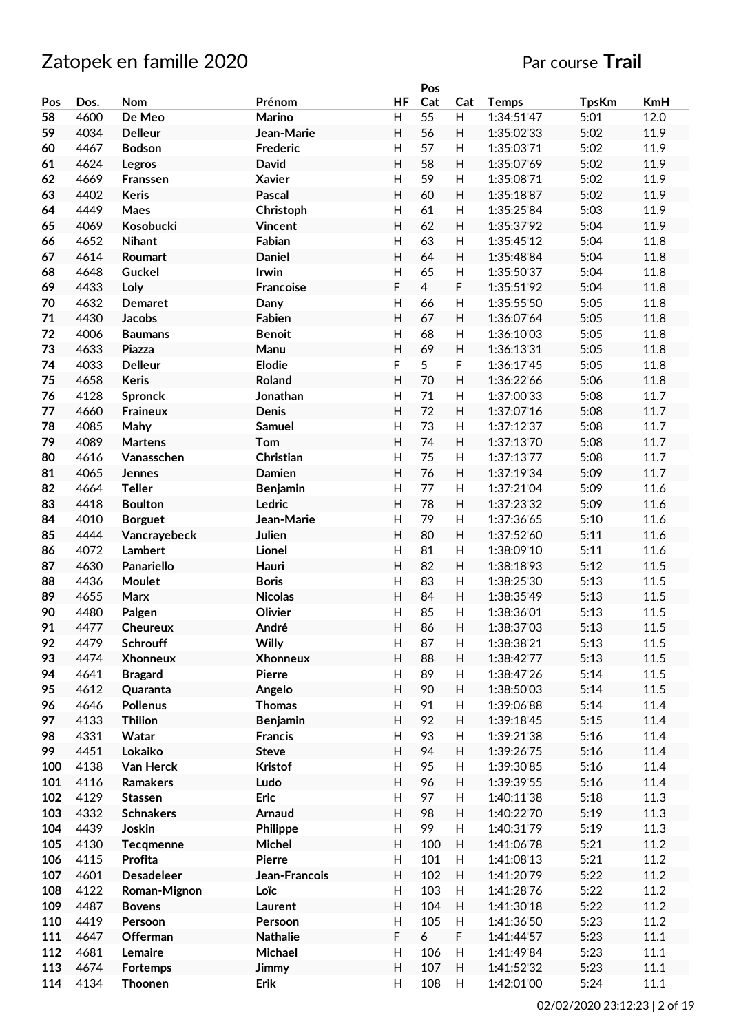|     |      |                  |                  |                         | Pos            |                           |              |              |      |
|-----|------|------------------|------------------|-------------------------|----------------|---------------------------|--------------|--------------|------|
| Pos | Dos. | Nom              | Prénom           | <b>HF</b>               | Cat            | Cat                       | <b>Temps</b> | <b>TpsKm</b> | KmH  |
| 58  | 4600 | De Meo           | Marino           | H                       | 55             | H                         | 1:34:51'47   | 5:01         | 12.0 |
| 59  | 4034 | <b>Delleur</b>   | Jean-Marie       | H                       | 56             | H                         | 1:35:02'33   | 5:02         | 11.9 |
| 60  | 4467 | <b>Bodson</b>    | <b>Frederic</b>  | H                       | 57             | H                         | 1:35:03'71   | 5:02         | 11.9 |
| 61  | 4624 | Legros           | <b>David</b>     | H                       | 58             | H                         | 1:35:07'69   | 5:02         | 11.9 |
| 62  | 4669 | Franssen         | <b>Xavier</b>    | H                       | 59             | H                         | 1:35:08'71   | 5:02         | 11.9 |
| 63  | 4402 | <b>Keris</b>     | <b>Pascal</b>    | H                       | 60             | H                         | 1:35:18'87   | 5:02         | 11.9 |
| 64  | 4449 | Maes             | Christoph        | H                       | 61             | H                         | 1:35:25'84   | 5:03         | 11.9 |
| 65  | 4069 | Kosobucki        | Vincent          | H                       | 62             | H                         | 1:35:37'92   | 5:04         | 11.9 |
|     |      |                  |                  |                         |                |                           | 1:35:45'12   |              |      |
| 66  | 4652 | <b>Nihant</b>    | Fabian           | H                       | 63             | H                         |              | 5:04         | 11.8 |
| 67  | 4614 | Roumart          | <b>Daniel</b>    | $\mathsf{H}$            | 64             | H                         | 1:35:48'84   | 5:04         | 11.8 |
| 68  | 4648 | <b>Guckel</b>    | Irwin            | $\mathsf{H}$            | 65             | $\mathsf{H}$              | 1:35:50'37   | 5:04         | 11.8 |
| 69  | 4433 | Loly             | <b>Francoise</b> | F                       | $\overline{4}$ | F                         | 1:35:51'92   | 5:04         | 11.8 |
| 70  | 4632 | <b>Demaret</b>   | Dany             | $\mathsf{H}$            | 66             | H                         | 1:35:55'50   | 5:05         | 11.8 |
| 71  | 4430 | <b>Jacobs</b>    | <b>Fabien</b>    | H                       | 67             | $\overline{H}$            | 1:36:07'64   | 5:05         | 11.8 |
| 72  | 4006 | <b>Baumans</b>   | <b>Benoit</b>    | H                       | 68             | H                         | 1:36:10'03   | 5:05         | 11.8 |
| 73  | 4633 | Piazza           | Manu             | H                       | 69             | Н                         | 1:36:13'31   | 5:05         | 11.8 |
| 74  | 4033 | <b>Delleur</b>   | <b>Elodie</b>    | F                       | 5              | F                         | 1:36:17'45   | 5:05         | 11.8 |
| 75  | 4658 | <b>Keris</b>     | Roland           | H                       | 70             | H                         | 1:36:22'66   | 5:06         | 11.8 |
| 76  | 4128 | <b>Spronck</b>   | Jonathan         | H                       | 71             | H                         | 1:37:00'33   | 5:08         | 11.7 |
| 77  | 4660 | Fraineux         | Denis            | $\overline{\mathsf{H}}$ | 72             | H                         | 1:37:07'16   | 5:08         | 11.7 |
| 78  | 4085 | Mahy             | Samuel           | H                       | 73             | $\mathsf{H}$              | 1:37:12'37   | 5:08         | 11.7 |
| 79  | 4089 | <b>Martens</b>   | <b>Tom</b>       | H                       | 74             | $\mathsf{H}$              | 1:37:13'70   | 5:08         | 11.7 |
| 80  | 4616 | Vanasschen       | Christian        | H                       | 75             | H                         | 1:37:13'77   | 5:08         | 11.7 |
| 81  | 4065 | <b>Jennes</b>    | <b>Damien</b>    | H                       | 76             | H                         | 1:37:19'34   | 5:09         | 11.7 |
| 82  | 4664 | <b>Teller</b>    | <b>Benjamin</b>  | H                       | 77             | H                         | 1:37:21'04   | 5:09         | 11.6 |
| 83  | 4418 | <b>Boulton</b>   | Ledric           | H                       | 78             | $\mathsf{H}$              | 1:37:23'32   | 5:09         | 11.6 |
|     |      |                  |                  |                         |                |                           |              |              |      |
| 84  | 4010 | <b>Borguet</b>   | Jean-Marie       | H                       | 79             | $\mathsf{H}$              | 1:37:36'65   | 5:10         | 11.6 |
| 85  | 4444 | Vancrayebeck     | Julien           | H                       | 80             | H                         | 1:37:52'60   | 5:11         | 11.6 |
| 86  | 4072 | Lambert          | Lionel           | H                       | 81             | H                         | 1:38:09'10   | 5:11         | 11.6 |
| 87  | 4630 | Panariello       | Hauri            | $\overline{\mathsf{H}}$ | 82             | H                         | 1:38:18'93   | 5:12         | 11.5 |
| 88  | 4436 | Moulet           | <b>Boris</b>     | $\mathsf{H}$            | 83             | $\mathsf{H}$              | 1:38:25'30   | 5:13         | 11.5 |
| 89  | 4655 | Marx             | <b>Nicolas</b>   | $\mathsf{H}$            | 84             | H                         | 1:38:35'49   | 5:13         | 11.5 |
| 90  | 4480 | Palgen           | Olivier          | $\mathsf{H}$            | 85             | H                         | 1:38:36'01   | 5:13         | 11.5 |
| 91  | 4477 | <b>Cheureux</b>  | André            | $\mathsf{H}$            | 86             | H                         | 1:38:37'03   | 5:13         | 11.5 |
| 92  | 4479 | <b>Schrouff</b>  | Willy            | H                       | 87             | H                         | 1:38:38'21   | 5:13         | 11.5 |
| 93  | 4474 | <b>Xhonneux</b>  | <b>Xhonneux</b>  | H                       | 88             | H                         | 1:38:42'77   | 5:13         | 11.5 |
| 94  | 4641 | <b>Bragard</b>   | <b>Pierre</b>    | H                       | 89             | H                         | 1:38:47'26   | 5:14         | 11.5 |
| 95  | 4612 | Quaranta         | Angelo           | H                       | 90             | H                         | 1:38:50'03   | 5:14         | 11.5 |
| 96  | 4646 | <b>Pollenus</b>  | <b>Thomas</b>    | H                       | 91             | H                         | 1:39:06'88   | 5:14         | 11.4 |
| 97  | 4133 | <b>Thilion</b>   | <b>Benjamin</b>  | H                       | 92             | $\boldsymbol{\mathsf{H}}$ | 1:39:18'45   | 5:15         | 11.4 |
| 98  | 4331 | Watar            | <b>Francis</b>   | H                       | 93             | $\boldsymbol{\mathsf{H}}$ | 1:39:21'38   | 5:16         | 11.4 |
| 99  | 4451 | Lokaiko          | <b>Steve</b>     | H                       | 94             | H                         | 1:39:26'75   | 5:16         | 11.4 |
| 100 | 4138 | Van Herck        | <b>Kristof</b>   | H                       | 95             | $\boldsymbol{\mathsf{H}}$ | 1:39:30'85   | 5:16         | 11.4 |
| 101 | 4116 | Ramakers         | Ludo             | H                       | 96             | H                         | 1:39:39'55   | 5:16         | 11.4 |
| 102 | 4129 | <b>Stassen</b>   | <b>Eric</b>      | H                       | 97             | Н                         | 1:40:11'38   | 5:18         | 11.3 |
| 103 | 4332 |                  |                  | H                       | 98             | H                         | 1:40:22'70   | 5:19         | 11.3 |
|     |      | <b>Schnakers</b> | <b>Arnaud</b>    |                         |                |                           |              |              |      |
| 104 | 4439 | Joskin           | Philippe         | H                       | 99             | Н                         | 1:40:31'79   | 5:19         | 11.3 |
| 105 | 4130 | Tecqmenne        | Michel           | H                       | 100            | $\boldsymbol{\mathsf{H}}$ | 1:41:06'78   | 5:21         | 11.2 |
| 106 | 4115 | Profita          | <b>Pierre</b>    | H                       | 101            | $\boldsymbol{\mathsf{H}}$ | 1:41:08'13   | 5:21         | 11.2 |
| 107 | 4601 | Desadeleer       | Jean-Francois    | H                       | 102            | $\boldsymbol{\mathsf{H}}$ | 1:41:20'79   | 5:22         | 11.2 |
| 108 | 4122 | Roman-Mignon     | Loïc             | H                       | 103            | H                         | 1:41:28'76   | 5:22         | 11.2 |
| 109 | 4487 | <b>Bovens</b>    | Laurent          | H                       | 104            | H                         | 1:41:30'18   | 5:22         | 11.2 |
| 110 | 4419 | Persoon          | Persoon          | H                       | 105            | $\boldsymbol{\mathsf{H}}$ | 1:41:36'50   | 5:23         | 11.2 |
| 111 | 4647 | Offerman         | <b>Nathalie</b>  | F                       | 6              | F                         | 1:41:44'57   | 5:23         | 11.1 |
| 112 | 4681 | Lemaire          | Michael          | Н                       | 106            | $\boldsymbol{\mathsf{H}}$ | 1:41:49'84   | 5:23         | 11.1 |
| 113 | 4674 | <b>Fortemps</b>  | Jimmy            | H                       | 107            | H                         | 1:41:52'32   | 5:23         | 11.1 |
| 114 | 4134 | Thoonen          | Erik             | H                       | 108            | H                         | 1:42:01'00   | 5:24         | 11.1 |
|     |      |                  |                  |                         |                |                           |              |              |      |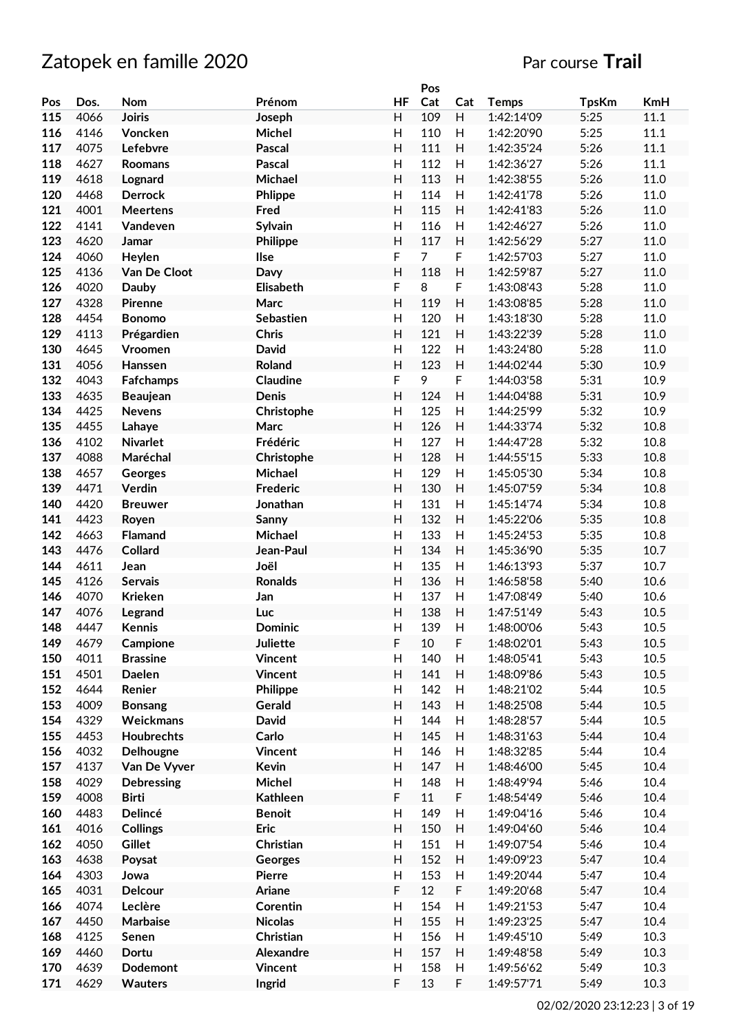|     |      |                   |                 |                           | Pos            |                           |              |              |      |
|-----|------|-------------------|-----------------|---------------------------|----------------|---------------------------|--------------|--------------|------|
| Pos | Dos. | Nom               | Prénom          | <b>HF</b>                 | Cat            | Cat                       | <b>Temps</b> | <b>TpsKm</b> | KmH  |
| 115 | 4066 | <b>Joiris</b>     | Joseph          | H                         | 109            | H                         | 1:42:14'09   | 5:25         | 11.1 |
| 116 | 4146 | Voncken           | Michel          | H                         | 110            | H                         | 1:42:20'90   | 5:25         | 11.1 |
| 117 | 4075 | Lefebvre          | <b>Pascal</b>   | H                         | 111            | H                         | 1:42:35'24   | 5:26         | 11.1 |
| 118 | 4627 |                   | <b>Pascal</b>   | H                         | 112            | H                         | 1:42:36'27   | 5:26         | 11.1 |
|     |      | Roomans           |                 |                           |                |                           |              |              |      |
| 119 | 4618 | Lognard           | Michael         | H                         | 113            | H                         | 1:42:38'55   | 5:26         | 11.0 |
| 120 | 4468 | <b>Derrock</b>    | Phlippe         | H                         | 114            | H                         | 1:42:41'78   | 5:26         | 11.0 |
| 121 | 4001 | <b>Meertens</b>   | Fred            | H                         | 115            | H                         | 1:42:41'83   | 5:26         | 11.0 |
| 122 | 4141 | Vandeven          | Sylvain         | $\mathsf{H}$              | 116            | H                         | 1:42:46'27   | 5:26         | 11.0 |
| 123 | 4620 | Jamar             | Philippe        | H                         | 117            | H                         | 1:42:56'29   | 5:27         | 11.0 |
| 124 | 4060 | Heylen            | Ilse            | F                         | $\overline{7}$ | F                         | 1:42:57'03   | 5:27         | 11.0 |
| 125 | 4136 | Van De Cloot      | Davy            | $\overline{H}$            | 118            | H                         | 1:42:59'87   | 5:27         | 11.0 |
| 126 | 4020 | Dauby             | Elisabeth       | F                         | 8              | F                         | 1:43:08'43   | 5:28         | 11.0 |
| 127 | 4328 | Pirenne           | Marc            | $\overline{H}$            | 119            | H                         | 1:43:08'85   | 5:28         | 11.0 |
|     |      |                   |                 |                           |                |                           |              |              |      |
| 128 | 4454 | <b>Bonomo</b>     | Sebastien       | $\mathsf{H}$              | 120            | H                         | 1:43:18'30   | 5:28         | 11.0 |
| 129 | 4113 | Prégardien        | <b>Chris</b>    | H                         | 121            | H                         | 1:43:22'39   | 5:28         | 11.0 |
| 130 | 4645 | Vroomen           | <b>David</b>    | Н                         | 122            | H                         | 1:43:24'80   | 5:28         | 11.0 |
| 131 | 4056 | Hanssen           | Roland          | H                         | 123            | H                         | 1:44:02'44   | 5:30         | 10.9 |
| 132 | 4043 | Fafchamps         | <b>Claudine</b> | F                         | 9              | F                         | 1:44:03'58   | 5:31         | 10.9 |
| 133 | 4635 | <b>Beaujean</b>   | <b>Denis</b>    | $\mathsf{H}$              | 124            | H                         | 1:44:04'88   | 5:31         | 10.9 |
| 134 | 4425 | <b>Nevens</b>     | Christophe      | $\mathsf{H}$              | 125            | H                         | 1:44:25'99   | 5:32         | 10.9 |
| 135 | 4455 | Lahaye            | Marc            | H                         | 126            | H                         | 1:44:33'74   | 5:32         | 10.8 |
| 136 | 4102 | <b>Nivarlet</b>   | Frédéric        | H                         | 127            | H                         | 1:44:47'28   | 5:32         | 10.8 |
| 137 | 4088 | Maréchal          | Christophe      | H                         | 128            | H                         | 1:44:55'15   | 5:33         | 10.8 |
| 138 | 4657 |                   | Michael         | H                         | 129            | H                         | 1:45:05'30   | 5:34         | 10.8 |
|     |      | Georges           |                 |                           |                |                           |              |              |      |
| 139 | 4471 | Verdin            | Frederic        | H                         | 130            | H                         | 1:45:07'59   | 5:34         | 10.8 |
| 140 | 4420 | <b>Breuwer</b>    | Jonathan        | H                         | 131            | H                         | 1:45:14'74   | 5:34         | 10.8 |
| 141 | 4423 | Royen             | Sanny           | H                         | 132            | H                         | 1:45:22'06   | 5:35         | 10.8 |
| 142 | 4663 | Flamand           | Michael         | H                         | 133            | H                         | 1:45:24'53   | 5:35         | 10.8 |
| 143 | 4476 | Collard           | Jean-Paul       | H                         | 134            | H                         | 1:45:36'90   | 5:35         | 10.7 |
| 144 | 4611 | Jean              | Joël            | $\mathsf{H}$              | 135            | H                         | 1:46:13'93   | 5:37         | 10.7 |
| 145 | 4126 | <b>Servais</b>    | <b>Ronalds</b>  | $\mathsf{H}$              | 136            | H                         | 1:46:58'58   | 5:40         | 10.6 |
| 146 | 4070 | <b>Krieken</b>    | Jan             | $\mathsf{H}$              | 137            | Н                         | 1:47:08'49   | 5:40         | 10.6 |
| 147 | 4076 | Legrand           | Luc             | $\overline{H}$            | 138            | H                         | 1:47:51'49   | 5:43         | 10.5 |
| 148 | 4447 | Kennis            | Dominic         | $\mathsf{H}$              | 139            | H                         | 1:48:00'06   | 5:43         | 10.5 |
| 149 | 4679 | Campione          | <b>Juliette</b> | F                         | 10             | F                         | 1:48:02'01   | 5:43         | 10.5 |
| 150 | 4011 | <b>Brassine</b>   | <b>Vincent</b>  | H                         | 140            |                           | 1:48:05'41   | 5:43         | 10.5 |
|     |      |                   |                 |                           |                | H                         |              |              |      |
| 151 | 4501 | Daelen            | Vincent         | H                         | 141            | Н                         | 1:48:09'86   | 5:43         | 10.5 |
| 152 | 4644 | Renier            | Philippe        | H                         | 142            | $\boldsymbol{\mathsf{H}}$ | 1:48:21'02   | 5:44         | 10.5 |
| 153 | 4009 | <b>Bonsang</b>    | Gerald          | H                         | 143            | $\boldsymbol{\mathsf{H}}$ | 1:48:25'08   | 5:44         | 10.5 |
| 154 | 4329 | Weickmans         | <b>David</b>    | Н                         | 144            | $\boldsymbol{\mathsf{H}}$ | 1:48:28'57   | 5:44         | 10.5 |
| 155 | 4453 | Houbrechts        | Carlo           | Н                         | 145            | H                         | 1:48:31'63   | 5:44         | 10.4 |
| 156 | 4032 | Delhougne         | <b>Vincent</b>  | $\boldsymbol{\mathsf{H}}$ | 146            | $\mathsf{H}%$             | 1:48:32'85   | 5:44         | 10.4 |
| 157 | 4137 | Van De Vyver      | Kevin           | H                         | 147            | H                         | 1:48:46'00   | 5:45         | 10.4 |
| 158 | 4029 | <b>Debressing</b> | Michel          | $\boldsymbol{\mathsf{H}}$ | 148            | $\boldsymbol{\mathsf{H}}$ | 1:48:49'94   | 5:46         | 10.4 |
| 159 | 4008 | <b>Birti</b>      | <b>Kathleen</b> | F                         | 11             | F                         | 1:48:54'49   | 5:46         | 10.4 |
| 160 | 4483 | Delincé           | <b>Benoit</b>   | Н                         | 149            | Н                         | 1:49:04'16   | 5:46         | 10.4 |
| 161 | 4016 | <b>Collings</b>   | <b>Eric</b>     | H                         | 150            | Н                         | 1:49:04'60   | 5:46         | 10.4 |
|     |      |                   |                 | H                         |                |                           |              |              |      |
| 162 | 4050 | Gillet            | Christian       |                           | 151            | H                         | 1:49:07'54   | 5:46         | 10.4 |
| 163 | 4638 | Poysat            | Georges         | H                         | 152            | H                         | 1:49:09'23   | 5:47         | 10.4 |
| 164 | 4303 | Jowa              | <b>Pierre</b>   | $\mathsf{H}$              | 153            | $\boldsymbol{\mathsf{H}}$ | 1:49:20'44   | 5:47         | 10.4 |
| 165 | 4031 | Delcour           | Ariane          | F                         | 12             | F                         | 1:49:20'68   | 5:47         | 10.4 |
| 166 | 4074 | Leclère           | Corentin        | $\overline{H}$            | 154            | H                         | 1:49:21'53   | 5:47         | 10.4 |
| 167 | 4450 | Marbaise          | <b>Nicolas</b>  | H                         | 155            | $\boldsymbol{\mathsf{H}}$ | 1:49:23'25   | 5:47         | 10.4 |
| 168 | 4125 | Senen             | Christian       | H                         | 156            | $\boldsymbol{\mathsf{H}}$ | 1:49:45'10   | 5:49         | 10.3 |
| 169 | 4460 | Dortu             | Alexandre       | H                         | 157            | Н                         | 1:49:48'58   | 5:49         | 10.3 |
| 170 | 4639 | <b>Dodemont</b>   | <b>Vincent</b>  | H                         | 158            | H                         | 1:49:56'62   | 5:49         | 10.3 |
| 171 | 4629 | <b>Wauters</b>    | Ingrid          | F                         | 13             | F                         | 1:49:57'71   | 5:49         | 10.3 |
|     |      |                   |                 |                           |                |                           |              |              |      |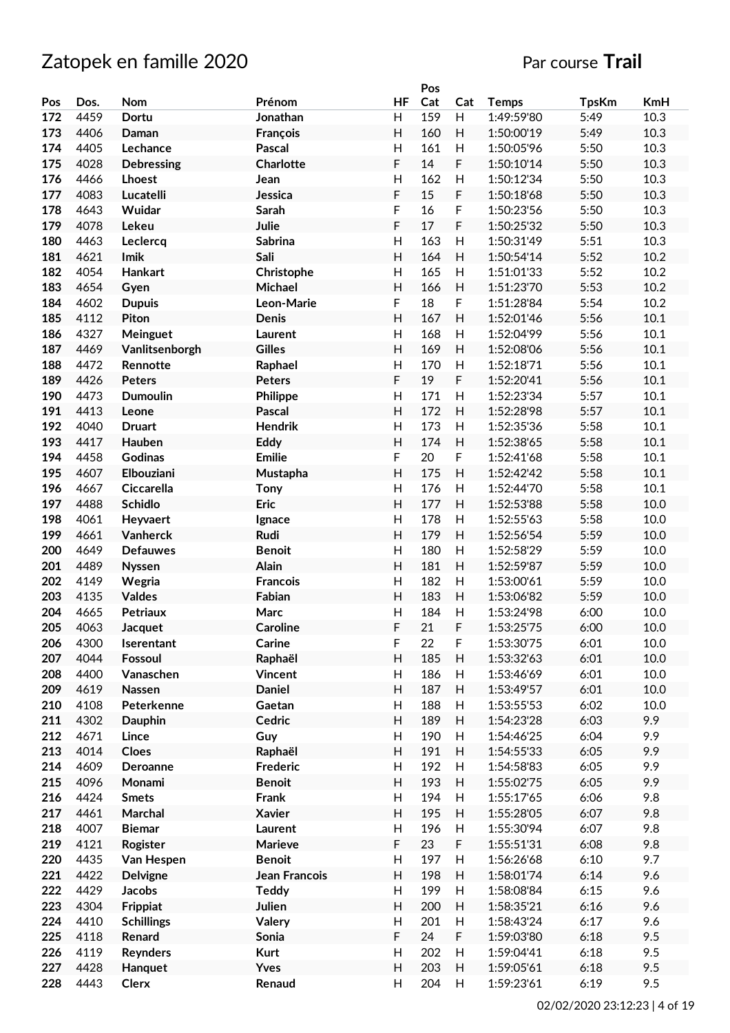|     |      |                   |                 |              | Pos |                           |              |              |      |
|-----|------|-------------------|-----------------|--------------|-----|---------------------------|--------------|--------------|------|
| Pos | Dos. | Nom               | Prénom          | <b>HF</b>    | Cat | Cat                       | <b>Temps</b> | <b>TpsKm</b> | KmH  |
| 172 | 4459 | Dortu             | Jonathan        | H            | 159 | H                         | 1:49:59'80   | 5:49         | 10.3 |
| 173 | 4406 | Daman             | François        | H            | 160 | H                         | 1:50:00'19   | 5:49         | 10.3 |
| 174 | 4405 | Lechance          | Pascal          | H            | 161 | H                         | 1:50:05'96   | 5:50         | 10.3 |
| 175 | 4028 | <b>Debressing</b> | Charlotte       | F            | 14  | F                         | 1:50:10'14   | 5:50         | 10.3 |
| 176 | 4466 | Lhoest            | Jean            | H            | 162 | H                         | 1:50:12'34   | 5:50         | 10.3 |
| 177 | 4083 | Lucatelli         | Jessica         | F            | 15  | F                         | 1:50:18'68   | 5:50         | 10.3 |
|     |      |                   |                 | F            | 16  |                           |              | 5:50         | 10.3 |
| 178 | 4643 | Wuidar            | Sarah           |              |     | F                         | 1:50:23'56   |              |      |
| 179 | 4078 | Lekeu             | Julie           | F            | 17  | F                         | 1:50:25'32   | 5:50         | 10.3 |
| 180 | 4463 | Leclercq          | <b>Sabrina</b>  | Η            | 163 | H                         | 1:50:31'49   | 5:51         | 10.3 |
| 181 | 4621 | Imik              | Sali            | Н            | 164 | H                         | 1:50:54'14   | 5:52         | 10.2 |
| 182 | 4054 | Hankart           | Christophe      | Н            | 165 | H                         | 1:51:01'33   | 5:52         | 10.2 |
| 183 | 4654 | Gyen              | Michael         | H            | 166 | H                         | 1:51:23'70   | 5:53         | 10.2 |
| 184 | 4602 | <b>Dupuis</b>     | Leon-Marie      | F            | 18  | F                         | 1:51:28'84   | 5:54         | 10.2 |
| 185 | 4112 | Piton             | Denis           | Н            | 167 | H                         | 1:52:01'46   | 5:56         | 10.1 |
| 186 | 4327 | Meinguet          | Laurent         | Η            | 168 | Н                         | 1:52:04'99   | 5:56         | 10.1 |
| 187 | 4469 | Vanlitsenborgh    | <b>Gilles</b>   | H            | 169 | H                         | 1:52:08'06   | 5:56         | 10.1 |
| 188 | 4472 | Rennotte          | Raphael         | $\mathsf{H}$ | 170 | H                         | 1:52:18'71   | 5:56         | 10.1 |
| 189 | 4426 | <b>Peters</b>     | <b>Peters</b>   | F            | 19  | F                         | 1:52:20'41   | 5:56         | 10.1 |
| 190 | 4473 | <b>Dumoulin</b>   |                 | H            | 171 | H                         | 1:52:23'34   | 5:57         | 10.1 |
|     |      |                   | Philippe        |              |     |                           |              |              |      |
| 191 | 4413 | Leone             | <b>Pascal</b>   | H            | 172 | H                         | 1:52:28'98   | 5:57         | 10.1 |
| 192 | 4040 | <b>Druart</b>     | <b>Hendrik</b>  | H            | 173 | $\boldsymbol{\mathsf{H}}$ | 1:52:35'36   | 5:58         | 10.1 |
| 193 | 4417 | Hauben            | Eddy            | H            | 174 | H                         | 1:52:38'65   | 5:58         | 10.1 |
| 194 | 4458 | <b>Godinas</b>    | <b>Emilie</b>   | F            | 20  | F                         | 1:52:41'68   | 5:58         | 10.1 |
| 195 | 4607 | Elbouziani        | Mustapha        | H            | 175 | H                         | 1:52:42'42   | 5:58         | 10.1 |
| 196 | 4667 | Ciccarella        | Tony            | H            | 176 | H                         | 1:52:44'70   | 5:58         | 10.1 |
| 197 | 4488 | <b>Schidlo</b>    | <b>Eric</b>     | H            | 177 | H                         | 1:52:53'88   | 5:58         | 10.0 |
| 198 | 4061 | Heyvaert          | Ignace          | Η            | 178 | H                         | 1:52:55'63   | 5:58         | 10.0 |
| 199 | 4661 | Vanherck          | Rudi            | H            | 179 | H                         | 1:52:56'54   | 5:59         | 10.0 |
| 200 | 4649 | <b>Defauwes</b>   | <b>Benoit</b>   | H            | 180 | H                         | 1:52:58'29   | 5:59         | 10.0 |
| 201 | 4489 | <b>Nyssen</b>     | <b>Alain</b>    | Н            | 181 | H                         | 1:52:59'87   | 5:59         | 10.0 |
| 202 | 4149 |                   |                 | $\mathsf{H}$ | 182 |                           |              |              |      |
|     |      | Wegria            | <b>Francois</b> |              |     | H                         | 1:53:00'61   | 5:59         | 10.0 |
| 203 | 4135 | Valdes            | Fabian          | Η            | 183 | H                         | 1:53:06'82   | 5:59         | 10.0 |
| 204 | 4665 | <b>Petriaux</b>   | Marc            | H            | 184 | H                         | 1:53:24'98   | 6:00         | 10.0 |
| 205 | 4063 | Jacquet           | <b>Caroline</b> | F            | 21  | F                         | 1:53:25'75   | 6:00         | 10.0 |
| 206 | 4300 | Iserentant        | Carine          | F            | 22  | F                         | 1:53:30'75   | 6:01         | 10.0 |
| 207 | 4044 | Fossoul           | Raphaël         | Н            | 185 | H                         | 1:53:32'63   | 6:01         | 10.0 |
| 208 | 4400 | Vanaschen         | <b>Vincent</b>  | H            | 186 | H                         | 1:53:46'69   | 6:01         | 10.0 |
| 209 | 4619 | Nassen            | Daniel          | H            | 187 | $\boldsymbol{\mathsf{H}}$ | 1:53:49'57   | 6:01         | 10.0 |
| 210 | 4108 | Peterkenne        | Gaetan          | H            | 188 | $\boldsymbol{\mathsf{H}}$ | 1:53:55'53   | 6:02         | 10.0 |
| 211 | 4302 | <b>Dauphin</b>    | Cedric          | H            | 189 | H                         | 1:54:23'28   | 6:03         | 9.9  |
| 212 | 4671 | Lince             | Guy             | Н            | 190 | H                         | 1:54:46'25   | 6:04         | 9.9  |
| 213 | 4014 | Cloes             | Raphaël         | H            | 191 | $\boldsymbol{\mathsf{H}}$ | 1:54:55'33   | 6:05         | 9.9  |
| 214 | 4609 | Deroanne          | <b>Frederic</b> | H            | 192 | $\mathsf{H}%$             | 1:54:58'83   | 6:05         | 9.9  |
| 215 | 4096 | Monami            | <b>Benoit</b>   | H            | 193 | $\boldsymbol{\mathsf{H}}$ | 1:55:02'75   | 6:05         | 9.9  |
|     |      |                   |                 |              |     |                           |              |              |      |
| 216 | 4424 | <b>Smets</b>      | Frank           | Н            | 194 | H                         | 1:55:17'65   | 6:06         | 9.8  |
| 217 | 4461 | Marchal           | <b>Xavier</b>   | H            | 195 | H                         | 1:55:28'05   | 6:07         | 9.8  |
| 218 | 4007 | <b>Biemar</b>     | Laurent         | H            | 196 | H                         | 1:55:30'94   | 6:07         | 9.8  |
| 219 | 4121 | Rogister          | Marieve         | F            | 23  | F                         | 1:55:51'31   | 6:08         | 9.8  |
| 220 | 4435 | Van Hespen        | <b>Benoit</b>   | $\mathsf{H}$ | 197 | $\mathsf{H}%$             | 1:56:26'68   | 6:10         | 9.7  |
| 221 | 4422 | <b>Delvigne</b>   | Jean Francois   | H            | 198 | H                         | 1:58:01'74   | 6:14         | 9.6  |
| 222 | 4429 | Jacobs            | <b>Teddy</b>    | Н            | 199 | H                         | 1:58:08'84   | 6:15         | 9.6  |
| 223 | 4304 | Frippiat          | Julien          | H            | 200 | $\boldsymbol{\mathsf{H}}$ | 1:58:35'21   | 6:16         | 9.6  |
| 224 | 4410 | <b>Schillings</b> | Valery          | H            | 201 | $\mathsf{H}%$             | 1:58:43'24   | 6:17         | 9.6  |
| 225 | 4118 | Renard            | Sonia           | F            | 24  | F                         | 1:59:03'80   | 6:18         | 9.5  |
| 226 | 4119 | Reynders          | <b>Kurt</b>     | Н            | 202 | H                         | 1:59:04'41   | 6:18         | 9.5  |
|     |      |                   |                 | H            | 203 |                           |              |              | 9.5  |
| 227 | 4428 | Hanquet           | <b>Yves</b>     |              |     | H                         | 1:59:05'61   | 6:18         |      |
| 228 | 4443 | Clerx             | Renaud          | H            | 204 | H                         | 1:59:23'61   | 6:19         | 9.5  |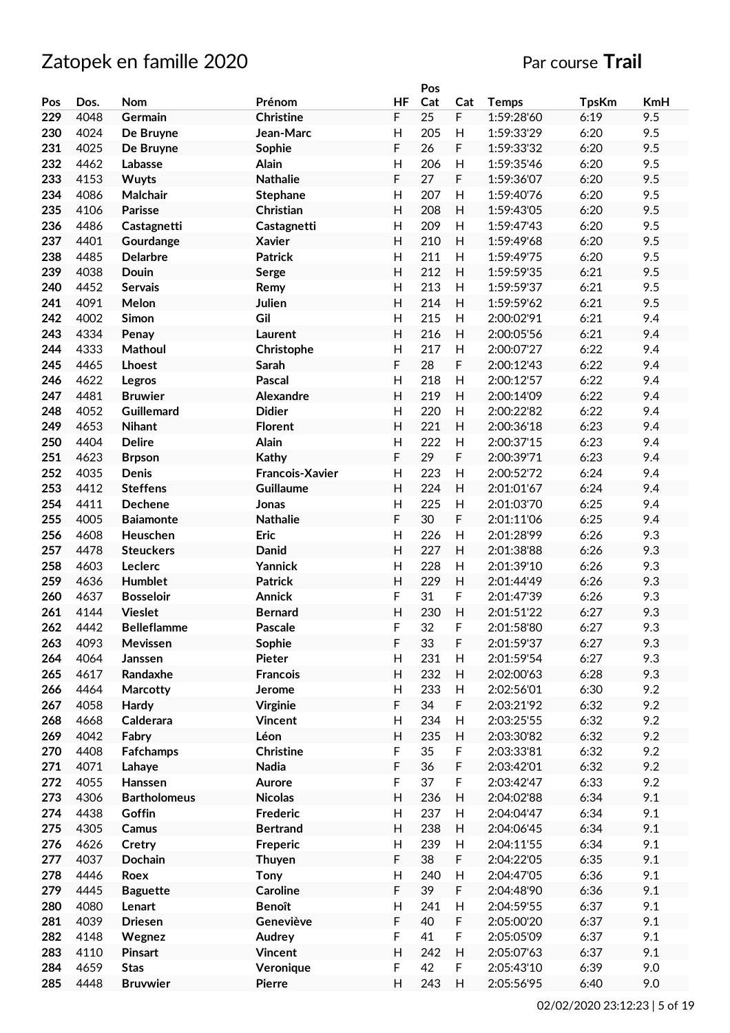|     |      |                     |                        |                           | Pos |                           |              |              |     |
|-----|------|---------------------|------------------------|---------------------------|-----|---------------------------|--------------|--------------|-----|
| Pos | Dos. | <b>Nom</b>          | Prénom                 | <b>HF</b>                 | Cat | Cat                       | <b>Temps</b> | <b>TpsKm</b> | KmH |
| 229 | 4048 | Germain             | <b>Christine</b>       | F                         | 25  | $\mathsf F$               | 1:59:28'60   | 6:19         | 9.5 |
| 230 | 4024 | De Bruyne           | Jean-Marc              | H                         | 205 | H                         | 1:59:33'29   | 6:20         | 9.5 |
| 231 | 4025 | De Bruyne           | Sophie                 | F                         | 26  | F                         | 1:59:33'32   | 6:20         | 9.5 |
| 232 | 4462 | Labasse             | Alain                  | $\mathsf{H}$              | 206 | H                         | 1:59:35'46   | 6:20         | 9.5 |
| 233 | 4153 | <b>Wuyts</b>        | <b>Nathalie</b>        | F                         | 27  | F                         | 1:59:36'07   | 6:20         | 9.5 |
| 234 | 4086 | Malchair            |                        | $\mathsf{H}$              | 207 | H                         | 1:59:40'76   | 6:20         | 9.5 |
|     |      |                     | <b>Stephane</b>        |                           |     |                           |              |              |     |
| 235 | 4106 | <b>Parisse</b>      | Christian              | H                         | 208 | H                         | 1:59:43'05   | 6:20         | 9.5 |
| 236 | 4486 | Castagnetti         | Castagnetti            | $\mathsf{H}$              | 209 | H                         | 1:59:47'43   | 6:20         | 9.5 |
| 237 | 4401 | Gourdange           | <b>Xavier</b>          | H                         | 210 | H                         | 1:59:49'68   | 6:20         | 9.5 |
| 238 | 4485 | <b>Delarbre</b>     | <b>Patrick</b>         | $\mathsf{H}$              | 211 | H                         | 1:59:49'75   | 6:20         | 9.5 |
| 239 | 4038 | Douin               | Serge                  | H                         | 212 | H                         | 1:59:59'35   | 6:21         | 9.5 |
| 240 | 4452 | Servais             | Remy                   | $\mathsf{H}$              | 213 | H                         | 1:59:59'37   | 6:21         | 9.5 |
| 241 | 4091 | Melon               | Julien                 | $\mathsf{H}$              | 214 | H                         | 1:59:59'62   | 6:21         | 9.5 |
| 242 | 4002 | Simon               | Gil                    | $\mathsf{H}$              | 215 | H                         | 2:00:02'91   | 6:21         | 9.4 |
| 243 | 4334 | Penay               | Laurent                | $\mathsf{H}$              | 216 | H                         | 2:00:05'56   | 6:21         | 9.4 |
| 244 | 4333 | Mathoul             | Christophe             | Н                         | 217 | H                         | 2:00:07'27   | 6:22         | 9.4 |
| 245 | 4465 | Lhoest              | Sarah                  | F                         | 28  | F                         | 2:00:12'43   | 6:22         | 9.4 |
| 246 | 4622 | Legros              | Pascal                 | H                         | 218 | H                         | 2:00:12'57   | 6:22         | 9.4 |
| 247 | 4481 | <b>Bruwier</b>      | Alexandre              | $\overline{H}$            | 219 | H                         | 2:00:14'09   | 6:22         | 9.4 |
|     |      |                     | <b>Didier</b>          | $\overline{H}$            | 220 |                           | 2:00:22'82   |              |     |
| 248 | 4052 | Guillemard          |                        |                           |     | H                         |              | 6:22         | 9.4 |
| 249 | 4653 | <b>Nihant</b>       | <b>Florent</b>         | H                         | 221 | H                         | 2:00:36'18   | 6:23         | 9.4 |
| 250 | 4404 | <b>Delire</b>       | Alain                  | $\overline{H}$            | 222 | H                         | 2:00:37'15   | 6:23         | 9.4 |
| 251 | 4623 | <b>Brpson</b>       | <b>Kathy</b>           | F                         | 29  | F                         | 2:00:39'71   | 6:23         | 9.4 |
| 252 | 4035 | Denis               | <b>Francois-Xavier</b> | $\mathsf{H}$              | 223 | H                         | 2:00:52'72   | 6:24         | 9.4 |
| 253 | 4412 | <b>Steffens</b>     | <b>Guillaume</b>       | H                         | 224 | H                         | 2:01:01'67   | 6:24         | 9.4 |
| 254 | 4411 | <b>Dechene</b>      | Jonas                  | H                         | 225 | H                         | 2:01:03'70   | 6:25         | 9.4 |
| 255 | 4005 | <b>Baiamonte</b>    | <b>Nathalie</b>        | F                         | 30  | F                         | 2:01:11'06   | 6:25         | 9.4 |
| 256 | 4608 | Heuschen            | Eric                   | $\mathsf{H}$              | 226 | H                         | 2:01:28'99   | 6:26         | 9.3 |
| 257 | 4478 | <b>Steuckers</b>    | Danid                  | H                         | 227 | H                         | 2:01:38'88   | 6:26         | 9.3 |
| 258 | 4603 | Leclerc             | Yannick                | $\mathsf{H}$              | 228 | H                         | 2:01:39'10   | 6:26         | 9.3 |
| 259 | 4636 | Humblet             | <b>Patrick</b>         | $\overline{H}$            | 229 | H                         | 2:01:44'49   | 6:26         | 9.3 |
| 260 | 4637 | <b>Bosseloir</b>    | <b>Annick</b>          | F                         | 31  | F                         | 2:01:47'39   | 6:26         | 9.3 |
| 261 | 4144 | <b>Vieslet</b>      | <b>Bernard</b>         | $\overline{H}$            | 230 | H                         | 2:01:51'22   | 6:27         | 9.3 |
| 262 | 4442 | <b>Belleflamme</b>  | Pascale                | F                         | 32  | F                         | 2:01:58'80   | 6:27         | 9.3 |
|     |      |                     |                        |                           | 33  |                           |              | 6:27         | 9.3 |
| 263 | 4093 | Mevissen            | Sophie                 | F                         |     | F                         | 2:01:59'37   |              |     |
| 264 | 4064 | Janssen             | Pieter                 | H                         | 231 | H                         | 2:01:59'54   | 6:27         | 9.3 |
| 265 | 4617 | Randaxhe            | <b>Francois</b>        | H                         | 232 | H                         | 2:02:00'63   | 6:28         | 9.3 |
| 266 | 4464 | Marcotty            | Jerome                 | H                         | 233 | H                         | 2:02:56'01   | 6:30         | 9.2 |
| 267 | 4058 | <b>Hardy</b>        | <b>Virginie</b>        | F                         | 34  | $\mathsf F$               | 2:03:21'92   | 6:32         | 9.2 |
| 268 | 4668 | Calderara           | <b>Vincent</b>         | Н                         | 234 | $\boldsymbol{\mathsf{H}}$ | 2:03:25'55   | 6:32         | 9.2 |
| 269 | 4042 | Fabry               | Léon                   | $\mathsf{H}$              | 235 | H                         | 2:03:30'82   | 6:32         | 9.2 |
| 270 | 4408 | Fafchamps           | <b>Christine</b>       | F                         | 35  | F                         | 2:03:33'81   | 6:32         | 9.2 |
| 271 | 4071 | Lahaye              | Nadia                  | F                         | 36  | $\mathsf F$               | 2:03:42'01   | 6:32         | 9.2 |
| 272 | 4055 | Hanssen             | Aurore                 | F                         | 37  | $\mathsf F$               | 2:03:42'47   | 6:33         | 9.2 |
| 273 | 4306 | <b>Bartholomeus</b> | <b>Nicolas</b>         | $\mathsf{H}$              | 236 | H                         | 2:04:02'88   | 6:34         | 9.1 |
| 274 | 4438 | Goffin              | Frederic               | Н                         | 237 | H                         | 2:04:04'47   | 6:34         | 9.1 |
| 275 | 4305 | Camus               | <b>Bertrand</b>        | H                         | 238 | H                         | 2:04:06'45   | 6:34         | 9.1 |
| 276 | 4626 | Cretry              | Freperic               | $\boldsymbol{\mathsf{H}}$ | 239 | H                         | 2:04:11'55   | 6:34         | 9.1 |
| 277 | 4037 | Dochain             |                        | F                         | 38  | $\mathsf F$               | 2:04:22'05   | 6:35         | 9.1 |
|     |      |                     | Thuyen                 | $\overline{\mathsf{H}}$   | 240 |                           |              |              |     |
| 278 | 4446 | Roex                | <b>Tony</b>            |                           |     | $\boldsymbol{\mathsf{H}}$ | 2:04:47'05   | 6:36         | 9.1 |
| 279 | 4445 | <b>Baguette</b>     | <b>Caroline</b>        | F                         | 39  | F                         | 2:04:48'90   | 6:36         | 9.1 |
| 280 | 4080 | Lenart              | <b>Benoît</b>          | $\overline{\mathsf{H}}$   | 241 | H                         | 2:04:59'55   | 6:37         | 9.1 |
| 281 | 4039 | <b>Driesen</b>      | Geneviève              | F                         | 40  | F                         | 2:05:00'20   | 6:37         | 9.1 |
| 282 | 4148 | Wegnez              | Audrey                 | F                         | 41  | $\mathsf F$               | 2:05:05'09   | 6:37         | 9.1 |
| 283 | 4110 | <b>Pinsart</b>      | <b>Vincent</b>         | $\mathsf{H}$              | 242 | H                         | 2:05:07'63   | 6:37         | 9.1 |
| 284 | 4659 | <b>Stas</b>         | Veronique              | F                         | 42  | $\mathsf F$               | 2:05:43'10   | 6:39         | 9.0 |
| 285 | 4448 | <b>Bruvwier</b>     | <b>Pierre</b>          | H                         | 243 | $\boldsymbol{\mathsf{H}}$ | 2:05:56'95   | 6:40         | 9.0 |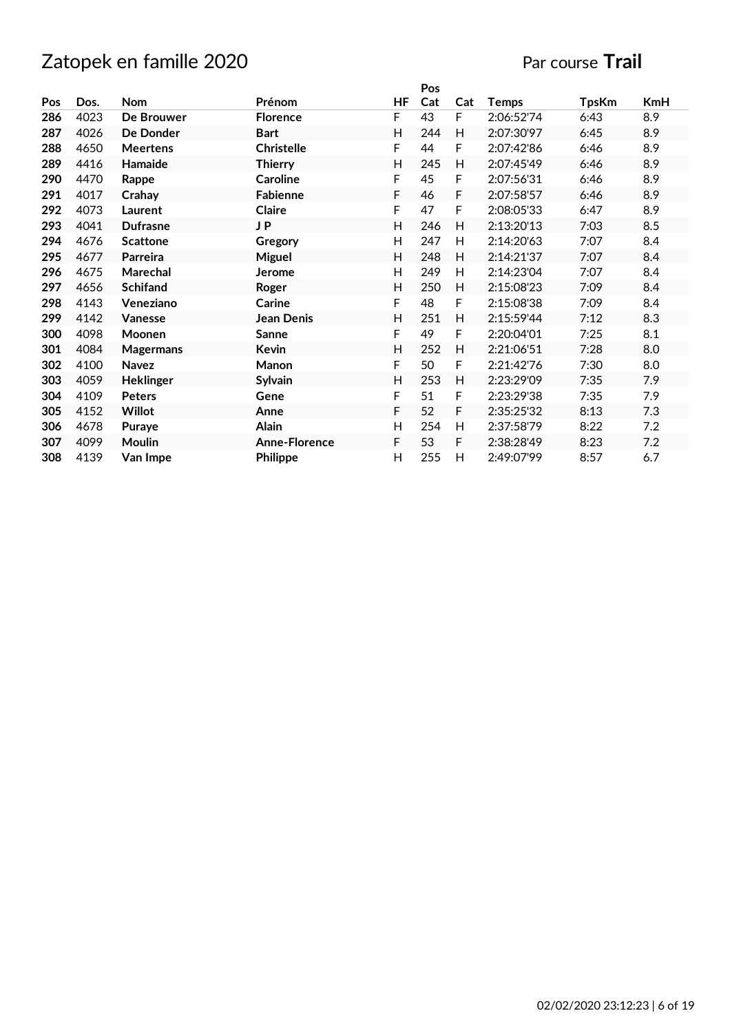|     |      |                  |                      |    | Pos |     |            |              |     |
|-----|------|------------------|----------------------|----|-----|-----|------------|--------------|-----|
| Pos | Dos. | <b>Nom</b>       | Prénom               | ΗF | Cat | Cat | Temps      | <b>TpsKm</b> | KmH |
| 286 | 4023 | De Brouwer       | <b>Florence</b>      | F  | 43  | F   | 2:06:52'74 | 6:43         | 8.9 |
| 287 | 4026 | De Donder        | <b>Bart</b>          | Н  | 244 | H   | 2:07:30'97 | 6:45         | 8.9 |
| 288 | 4650 | <b>Meertens</b>  | <b>Christelle</b>    | F  | 44  | F   | 2:07:42'86 | 6:46         | 8.9 |
| 289 | 4416 | Hamaide          | <b>Thierry</b>       | H  | 245 | H   | 2:07:45'49 | 6:46         | 8.9 |
| 290 | 4470 | Rappe            | <b>Caroline</b>      | F  | 45  | F   | 2:07:56'31 | 6:46         | 8.9 |
| 291 | 4017 | Crahay           | Fabienne             | F  | 46  | F   | 2:07:58'57 | 6:46         | 8.9 |
| 292 | 4073 | Laurent          | <b>Claire</b>        | F  | 47  | F   | 2:08:05'33 | 6:47         | 8.9 |
| 293 | 4041 | <b>Dufrasne</b>  | J P                  | H  | 246 | H   | 2:13:20'13 | 7:03         | 8.5 |
| 294 | 4676 | <b>Scattone</b>  | Gregory              | Н  | 247 | H   | 2:14:20'63 | 7:07         | 8.4 |
| 295 | 4677 | Parreira         | <b>Miguel</b>        | н  | 248 | H   | 2:14:21'37 | 7:07         | 8.4 |
| 296 | 4675 | Marechal         | <b>Jerome</b>        | Н  | 249 | H   | 2:14:23'04 | 7:07         | 8.4 |
| 297 | 4656 | <b>Schifand</b>  | Roger                | Н  | 250 | H   | 2:15:08'23 | 7:09         | 8.4 |
| 298 | 4143 | Veneziano        | Carine               | F  | 48  | F   | 2:15:08'38 | 7:09         | 8.4 |
| 299 | 4142 | <b>Vanesse</b>   | Jean Denis           | н  | 251 | H   | 2:15:59'44 | 7:12         | 8.3 |
| 300 | 4098 | Moonen           | Sanne                | F  | 49  | F   | 2:20:04'01 | 7:25         | 8.1 |
| 301 | 4084 | <b>Magermans</b> | Kevin                | н  | 252 | H   | 2:21:06'51 | 7:28         | 8.0 |
| 302 | 4100 | <b>Navez</b>     | Manon                | F  | 50  | F   | 2:21:42'76 | 7:30         | 8.0 |
| 303 | 4059 | <b>Heklinger</b> | <b>Sylvain</b>       | Н  | 253 | H   | 2:23:29'09 | 7:35         | 7.9 |
| 304 | 4109 | <b>Peters</b>    | Gene                 | F  | 51  | F   | 2:23:29'38 | 7:35         | 7.9 |
| 305 | 4152 | <b>Willot</b>    | Anne                 | F  | 52  | F   | 2:35:25'32 | 8:13         | 7.3 |
| 306 | 4678 | Puraye           | <b>Alain</b>         | Н  | 254 | H   | 2:37:58'79 | 8:22         | 7.2 |
| 307 | 4099 | <b>Moulin</b>    | <b>Anne-Florence</b> | F  | 53  | F   | 2:38:28'49 | 8:23         | 7.2 |
| 308 | 4139 | Van Impe         | Philippe             | Н  | 255 | H   | 2:49:07'99 | 8:57         | 6.7 |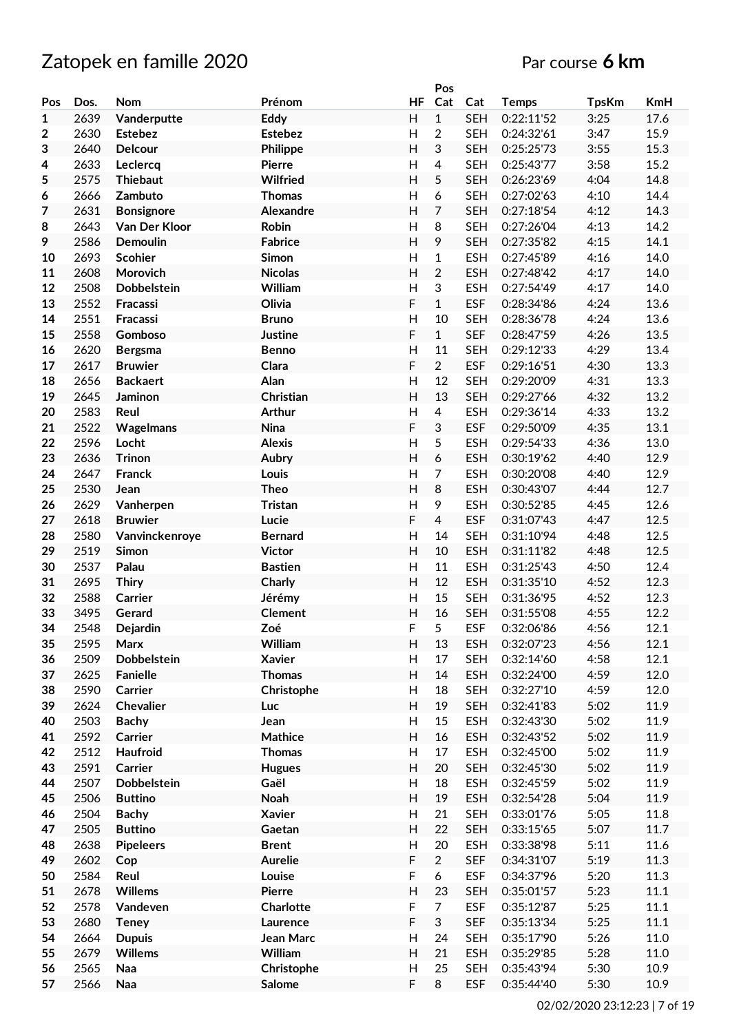# Zatopek en famille 2020 **Par course 6 km**

|                  |      |                   |                |                | Pos            |            |              |              |            |
|------------------|------|-------------------|----------------|----------------|----------------|------------|--------------|--------------|------------|
| Pos              | Dos. | <b>Nom</b>        | Prénom         | <b>HF</b>      | Cat            | Cat        | <b>Temps</b> | <b>TpsKm</b> | <b>KmH</b> |
| $\mathbf{1}$     | 2639 | Vanderputte       | Eddy           | H              | $\mathbf{1}$   | <b>SEH</b> | 0:22:11'52   | 3:25         | 17.6       |
| $\boldsymbol{2}$ | 2630 | <b>Estebez</b>    | <b>Estebez</b> | $\mathsf{H}$   | $\overline{c}$ | <b>SEH</b> | 0:24:32'61   | 3:47         | 15.9       |
| 3                | 2640 | <b>Delcour</b>    | Philippe       | H              | 3              | <b>SEH</b> | 0:25:25'73   | 3:55         | 15.3       |
| 4                | 2633 | Leclercq          | <b>Pierre</b>  | H              | 4              | <b>SEH</b> | 0:25:43'77   | 3:58         | 15.2       |
| 5                | 2575 | <b>Thiebaut</b>   | Wilfried       | H              | 5              | <b>SEH</b> | 0:26:23'69   | 4:04         | 14.8       |
|                  | 2666 | Zambuto           | <b>Thomas</b>  | Н              | 6              | <b>SEH</b> | 0:27:02'63   | 4:10         | 14.4       |
| 6                |      |                   |                |                |                |            |              |              |            |
| $\overline{7}$   | 2631 | <b>Bonsignore</b> | Alexandre      | H              | 7              | <b>SEH</b> | 0:27:18'54   | 4:12         | 14.3       |
| 8                | 2643 | Van Der Kloor     | Robin          | $\overline{H}$ | 8              | <b>SEH</b> | 0:27:26'04   | 4:13         | 14.2       |
| 9                | 2586 | <b>Demoulin</b>   | <b>Fabrice</b> | H              | 9              | <b>SEH</b> | 0:27:35'82   | 4:15         | 14.1       |
| 10               | 2693 | <b>Scohier</b>    | Simon          | $\mathsf{H}$   | $\mathbf{1}$   | <b>ESH</b> | 0:27:45'89   | 4:16         | 14.0       |
| 11               | 2608 | Morovich          | <b>Nicolas</b> | $\overline{H}$ | $\overline{2}$ | <b>ESH</b> | 0:27:48'42   | 4:17         | 14.0       |
| 12               | 2508 | Dobbelstein       | William        | $\overline{H}$ | 3              | <b>ESH</b> | 0:27:54'49   | 4:17         | 14.0       |
| 13               | 2552 | Fracassi          | Olivia         | F              | $\mathbf{1}$   | <b>ESF</b> | 0:28:34'86   | 4:24         | 13.6       |
| 14               | 2551 | Fracassi          | <b>Bruno</b>   | $\overline{H}$ | 10             | <b>SEH</b> | 0:28:36'78   | 4:24         | 13.6       |
| 15               | 2558 | Gomboso           | <b>Justine</b> | F              | $\mathbf{1}$   | <b>SEF</b> | 0:28:47'59   | 4:26         | 13.5       |
| 16               | 2620 | <b>Bergsma</b>    | <b>Benno</b>   | $\mathsf{H}$   | 11             | <b>SEH</b> | 0:29:12'33   | 4:29         | 13.4       |
| 17               | 2617 | <b>Bruwier</b>    | Clara          | F              | $\overline{2}$ | <b>ESF</b> | 0:29:16'51   | 4:30         | 13.3       |
| 18               | 2656 | <b>Backaert</b>   | Alan           | $\overline{H}$ | 12             | <b>SEH</b> |              |              |            |
|                  |      |                   |                |                |                |            | 0:29:20'09   | 4:31         | 13.3       |
| 19               | 2645 | Jaminon           | Christian      | $\overline{H}$ | 13             | <b>SEH</b> | 0:29:27'66   | 4:32         | 13.2       |
| 20               | 2583 | Reul              | <b>Arthur</b>  | $\overline{H}$ | $\overline{4}$ | <b>ESH</b> | 0:29:36'14   | 4:33         | 13.2       |
| 21               | 2522 | Wagelmans         | Nina           | F              | 3              | <b>ESF</b> | 0:29:50'09   | 4:35         | 13.1       |
| 22               | 2596 | Locht             | <b>Alexis</b>  | H              | 5              | <b>ESH</b> | 0:29:54'33   | 4:36         | 13.0       |
| 23               | 2636 | <b>Trinon</b>     | Aubry          | H              | 6              | <b>ESH</b> | 0:30:19'62   | 4:40         | 12.9       |
| 24               | 2647 | Franck            | Louis          | $\mathsf{H}$   | $\overline{7}$ | <b>ESH</b> | 0:30:20'08   | 4:40         | 12.9       |
| 25               | 2530 | Jean              | <b>Theo</b>    | H              | 8              | <b>ESH</b> | 0:30:43'07   | 4:44         | 12.7       |
| 26               | 2629 | Vanherpen         | Tristan        | $\mathsf{H}$   | 9              | <b>ESH</b> | 0:30:52'85   | 4:45         | 12.6       |
| 27               | 2618 | <b>Bruwier</b>    | Lucie          | F              | $\overline{4}$ | <b>ESF</b> | 0:31:07'43   | 4:47         | 12.5       |
| 28               | 2580 | Vanvinckenroye    | <b>Bernard</b> | $\mathsf{H}$   | 14             | <b>SEH</b> | 0:31:10'94   | 4:48         | 12.5       |
| 29               | 2519 | Simon             | <b>Victor</b>  | H              | 10             | <b>ESH</b> | 0:31:11'82   | 4:48         | 12.5       |
| 30               | 2537 | Palau             | <b>Bastien</b> | $\mathsf{H}$   | 11             | <b>ESH</b> |              |              | 12.4       |
|                  |      |                   |                |                |                |            | 0:31:25'43   | 4:50         |            |
| 31               | 2695 | <b>Thiry</b>      | Charly         | $\overline{H}$ | 12             | <b>ESH</b> | 0:31:35'10   | 4:52         | 12.3       |
| 32               | 2588 | Carrier           | Jérémy         | $\mathsf{H}$   | 15             | <b>SEH</b> | 0:31:36'95   | 4:52         | 12.3       |
| 33               | 3495 | Gerard            | <b>Clement</b> | H              | 16             | <b>SEH</b> | 0:31:55'08   | 4:55         | 12.2       |
| 34               | 2548 | Dejardin          | Zoé            | F              | 5              | <b>ESF</b> | 0:32:06'86   | 4:56         | 12.1       |
| 35               | 2595 | Marx              | William        | H              | 13             | <b>ESH</b> | 0:32:07'23   | 4:56         | 12.1       |
| 36               | 2509 | Dobbelstein       | <b>Xavier</b>  | H              | 17             | <b>SEH</b> | 0:32:14'60   | 4:58         | 12.1       |
| 37               | 2625 | Fanielle          | <b>Thomas</b>  | H              | 14             | <b>ESH</b> | 0:32:24'00   | 4:59         | 12.0       |
| 38               | 2590 | Carrier           | Christophe     | H              | 18             | <b>SEH</b> | 0:32:27'10   | 4:59         | 12.0       |
| 39               | 2624 | Chevalier         | Luc            | H              | 19             | <b>SEH</b> | 0:32:41'83   | 5:02         | 11.9       |
| 40               | 2503 | <b>Bachy</b>      | Jean           | $\mathsf{H}$   | 15             | <b>ESH</b> | 0:32:43'30   | 5:02         | 11.9       |
| 41               | 2592 | <b>Carrier</b>    | Mathice        | H              | 16             | <b>ESH</b> | 0:32:43'52   | 5:02         | 11.9       |
| 42               | 2512 | Haufroid          | <b>Thomas</b>  | Н              | 17             | <b>ESH</b> | 0:32:45'00   | 5:02         | 11.9       |
|                  |      |                   |                |                |                |            |              |              |            |
| 43               | 2591 | Carrier           | <b>Hugues</b>  | H              | 20             | <b>SEH</b> | 0:32:45'30   | 5:02         | 11.9       |
| 44               | 2507 | Dobbelstein       | Gaël           | Н              | 18             | <b>ESH</b> | 0:32:45'59   | 5:02         | 11.9       |
| 45               | 2506 | <b>Buttino</b>    | Noah           | H              | 19             | <b>ESH</b> | 0:32:54'28   | 5:04         | 11.9       |
| 46               | 2504 | <b>Bachy</b>      | <b>Xavier</b>  | H              | 21             | <b>SEH</b> | 0:33:01'76   | 5:05         | 11.8       |
| 47               | 2505 | <b>Buttino</b>    | Gaetan         | H              | 22             | <b>SEH</b> | 0:33:15'65   | 5:07         | 11.7       |
| 48               | 2638 | <b>Pipeleers</b>  | <b>Brent</b>   | H              | 20             | <b>ESH</b> | 0:33:38'98   | 5:11         | 11.6       |
| 49               | 2602 | Cop               | <b>Aurelie</b> | F              | $\overline{2}$ | <b>SEF</b> | 0:34:31'07   | 5:19         | 11.3       |
| 50               | 2584 | Reul              | Louise         | F              | 6              | <b>ESF</b> | 0:34:37'96   | 5:20         | $11.3\,$   |
| 51               | 2678 | Willems           | <b>Pierre</b>  | $\overline{H}$ | 23             | <b>SEH</b> | 0:35:01'57   | 5:23         | $11.1\,$   |
| 52               | 2578 | Vandeven          | Charlotte      | F              | $\overline{7}$ | <b>ESF</b> | 0:35:12'87   | 5:25         | $11.1\,$   |
| 53               | 2680 | <b>Teney</b>      | Laurence       | F              | 3              | <b>SEF</b> | 0:35:13'34   | 5:25         | 11.1       |
|                  |      |                   |                |                |                |            |              |              |            |
| 54               | 2664 | <b>Dupuis</b>     | Jean Marc      | Н              | 24             | <b>SEH</b> | 0:35:17'90   | 5:26         | 11.0       |
| 55               | 2679 | Willems           | William        | H              | 21             | <b>ESH</b> | 0:35:29'85   | 5:28         | 11.0       |
| 56               | 2565 | Naa               | Christophe     | H              | 25             | <b>SEH</b> | 0:35:43'94   | 5:30         | 10.9       |
| 57               | 2566 | Naa               | Salome         | F              | 8              | <b>ESF</b> | 0:35:44'40   | 5:30         | 10.9       |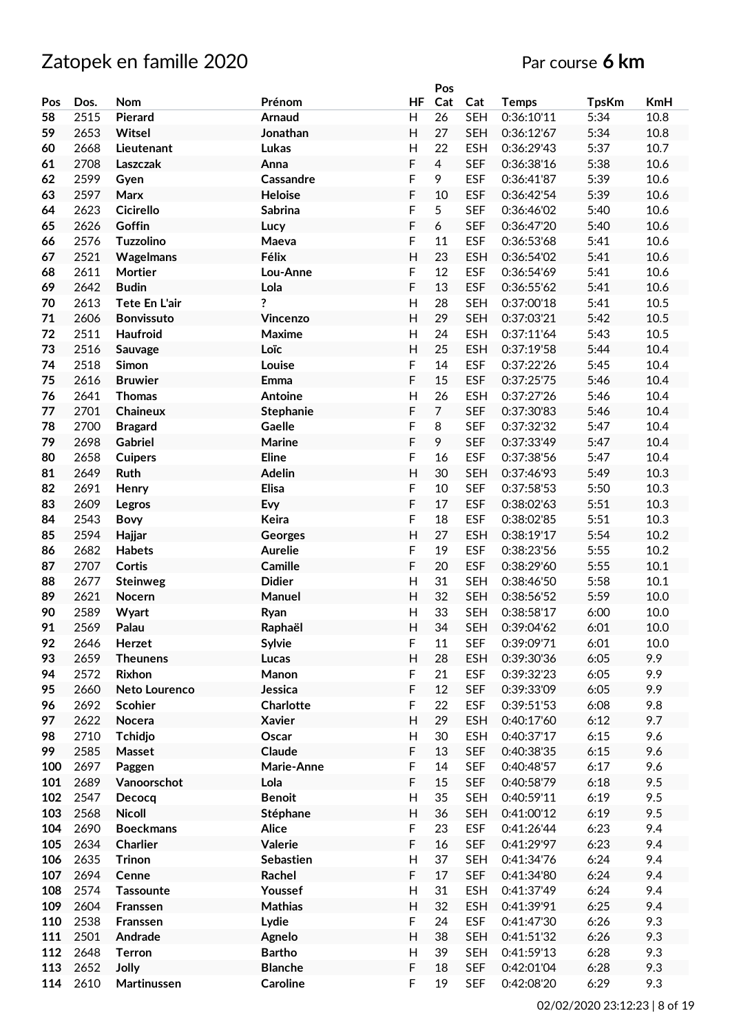|     |      |                      |                 |                | Pos            |            |              |              |      |
|-----|------|----------------------|-----------------|----------------|----------------|------------|--------------|--------------|------|
| Pos | Dos. | <b>Nom</b>           | Prénom          | <b>HF</b>      | Cat            | Cat        | <b>Temps</b> | <b>TpsKm</b> | KmH  |
| 58  | 2515 | Pierard              | Arnaud          | H              | 26             | <b>SEH</b> | 0:36:10'11   | 5:34         | 10.8 |
| 59  | 2653 | Witsel               | Jonathan        | H              | 27             | <b>SEH</b> | 0:36:12'67   | 5:34         | 10.8 |
| 60  | 2668 | Lieutenant           | Lukas           | $\overline{H}$ | 22             | <b>ESH</b> | 0:36:29'43   | 5:37         | 10.7 |
| 61  | 2708 | Laszczak             | Anna            | F              | $\overline{4}$ | <b>SEF</b> | 0:36:38'16   | 5:38         | 10.6 |
| 62  | 2599 | Gyen                 | Cassandre       | F              | 9              | <b>ESF</b> | 0:36:41'87   | 5:39         | 10.6 |
| 63  | 2597 | Marx                 | <b>Heloise</b>  | F              | 10             | <b>ESF</b> | 0:36:42'54   | 5:39         | 10.6 |
|     |      |                      |                 |                |                |            |              |              |      |
| 64  | 2623 | <b>Cicirello</b>     | <b>Sabrina</b>  | F              | 5              | <b>SEF</b> | 0:36:46'02   | 5:40         | 10.6 |
| 65  | 2626 | Goffin               | Lucy            | F              | 6              | <b>SEF</b> | 0:36:47'20   | 5:40         | 10.6 |
| 66  | 2576 | Tuzzolino            | Maeva           | F              | 11             | <b>ESF</b> | 0:36:53'68   | 5:41         | 10.6 |
| 67  | 2521 | Wagelmans            | Félix           | H              | 23             | <b>ESH</b> | 0:36:54'02   | 5:41         | 10.6 |
| 68  | 2611 | Mortier              | Lou-Anne        | F              | 12             | <b>ESF</b> | 0:36:54'69   | 5:41         | 10.6 |
| 69  | 2642 | <b>Budin</b>         | Lola            | F              | 13             | <b>ESF</b> | 0:36:55'62   | 5:41         | 10.6 |
| 70  | 2613 | Tete En L'air        | ?               | $\overline{H}$ | 28             | <b>SEH</b> | 0:37:00'18   | 5:41         | 10.5 |
| 71  | 2606 | <b>Bonvissuto</b>    | Vincenzo        | H              | 29             | <b>SEH</b> | 0:37:03'21   | 5:42         | 10.5 |
| 72  | 2511 | Haufroid             | Maxime          | $\mathsf{H}$   | 24             | <b>ESH</b> | 0:37:11'64   | 5:43         | 10.5 |
| 73  | 2516 | Sauvage              | Loïc            | H              | 25             | <b>ESH</b> | 0:37:19'58   | 5:44         | 10.4 |
| 74  | 2518 | Simon                | Louise          | F              | 14             | <b>ESF</b> | 0:37:22'26   | 5:45         | 10.4 |
| 75  | 2616 | <b>Bruwier</b>       | Emma            | F              | 15             | <b>ESF</b> | 0:37:25'75   | 5:46         | 10.4 |
| 76  | 2641 | <b>Thomas</b>        | Antoine         | $\overline{H}$ | 26             | <b>ESH</b> | 0:37:27'26   | 5:46         | 10.4 |
| 77  | 2701 | Chaineux             | Stephanie       | F              | $\overline{7}$ | <b>SEF</b> | 0:37:30'83   | 5:46         | 10.4 |
| 78  | 2700 | <b>Bragard</b>       | Gaelle          | F              | 8              | <b>SEF</b> | 0:37:32'32   | 5:47         | 10.4 |
| 79  | 2698 | <b>Gabriel</b>       | Marine          | F              | 9              | <b>SEF</b> | 0:37:33'49   | 5:47         | 10.4 |
| 80  | 2658 | <b>Cuipers</b>       | <b>Eline</b>    | F              | 16             | <b>ESF</b> | 0:37:38'56   | 5:47         | 10.4 |
| 81  | 2649 | Ruth                 | <b>Adelin</b>   | $\overline{H}$ | 30             | <b>SEH</b> | 0:37:46'93   | 5:49         | 10.3 |
| 82  | 2691 | Henry                | Elisa           | F              | 10             | <b>SEF</b> | 0:37:58'53   | 5:50         | 10.3 |
| 83  | 2609 |                      | Evy             | F              | 17             | <b>ESF</b> | 0:38:02'63   | 5:51         | 10.3 |
|     |      | Legros               |                 |                | 18             |            |              |              |      |
| 84  | 2543 | <b>Bovy</b>          | Keira           | F              |                | <b>ESF</b> | 0:38:02'85   | 5:51         | 10.3 |
| 85  | 2594 | Hajjar               | Georges         | H              | 27             | <b>ESH</b> | 0:38:19'17   | 5:54         | 10.2 |
| 86  | 2682 | Habets               | <b>Aurelie</b>  | F              | 19             | <b>ESF</b> | 0:38:23'56   | 5:55         | 10.2 |
| 87  | 2707 | Cortis               | Camille         | F              | 20             | <b>ESF</b> | 0:38:29'60   | 5:55         | 10.1 |
| 88  | 2677 | <b>Steinweg</b>      | <b>Didier</b>   | $\mathsf{H}$   | 31             | <b>SEH</b> | 0:38:46'50   | 5:58         | 10.1 |
| 89  | 2621 | Nocern               | Manuel          | $\overline{H}$ | 32             | <b>SEH</b> | 0:38:56'52   | 5:59         | 10.0 |
| 90  | 2589 | Wyart                | Ryan            | Н              | 33             | <b>SEH</b> | 0:38:58'17   | 6:00         | 10.0 |
| 91  | 2569 | Palau                | Raphaël         | Н              | 34             | <b>SEH</b> | 0:39:04'62   | 6:01         | 10.0 |
| 92  | 2646 | Herzet               | Sylvie          | F              | 11             | <b>SEF</b> | 0:39:09'71   | 6:01         | 10.0 |
| 93  | 2659 | <b>Theunens</b>      | Lucas           | Н              | 28             | <b>ESH</b> | 0:39:30'36   | 6:05         | 9.9  |
| 94  | 2572 | Rixhon               | Manon           | F              | 21             | <b>ESF</b> | 0:39:32'23   | 6:05         | 9.9  |
| 95  | 2660 | <b>Neto Lourenco</b> | Jessica         | F              | 12             | <b>SEF</b> | 0:39:33'09   | 6:05         | 9.9  |
| 96  | 2692 | <b>Scohier</b>       | Charlotte       | F              | 22             | <b>ESF</b> | 0:39:51'53   | 6:08         | 9.8  |
| 97  | 2622 | Nocera               | <b>Xavier</b>   | $\mathsf{H}$   | 29             | <b>ESH</b> | 0:40:17'60   | 6:12         | 9.7  |
| 98  | 2710 | <b>Tchidjo</b>       | Oscar           | Н              | 30             | <b>ESH</b> | 0:40:37'17   | 6:15         | 9.6  |
| 99  | 2585 | Masset               | Claude          | F              | 13             | <b>SEF</b> | 0:40:38'35   | 6:15         | 9.6  |
| 100 | 2697 | Paggen               | Marie-Anne      | F              | 14             | <b>SEF</b> | 0:40:48'57   | 6:17         | 9.6  |
| 101 | 2689 | Vanoorschot          | Lola            | F              | 15             | <b>SEF</b> | 0:40:58'79   | 6:18         | 9.5  |
| 102 | 2547 | Decocq               | <b>Benoit</b>   | Н              | 35             | <b>SEH</b> | 0:40:59'11   | 6:19         | 9.5  |
| 103 | 2568 | <b>Nicoll</b>        | Stéphane        | Н              | 36             | <b>SEH</b> | 0:41:00'12   | 6:19         | 9.5  |
| 104 | 2690 | <b>Boeckmans</b>     | <b>Alice</b>    | F              | 23             | <b>ESF</b> | 0:41:26'44   | 6:23         | 9.4  |
| 105 | 2634 | Charlier             | Valerie         | F              | 16             | <b>SEF</b> | 0:41:29'97   | 6:23         | 9.4  |
| 106 | 2635 | <b>Trinon</b>        | Sebastien       | H              | 37             | <b>SEH</b> | 0:41:34'76   | 6:24         | 9.4  |
| 107 | 2694 | Cenne                | Rachel          | F              | 17             | <b>SEF</b> | 0:41:34'80   | 6:24         | 9.4  |
| 108 | 2574 | <b>Tassounte</b>     | Youssef         | Н              | 31             | <b>ESH</b> | 0:41:37'49   | 6:24         | 9.4  |
|     |      |                      |                 |                |                |            |              |              |      |
| 109 | 2604 | Franssen             | <b>Mathias</b>  | H              | 32             | <b>ESH</b> | 0:41:39'91   | 6:25         | 9.4  |
| 110 | 2538 | Franssen             | Lydie           | F              | 24             | <b>ESF</b> | 0:41:47'30   | 6:26         | 9.3  |
| 111 | 2501 | Andrade              | Agnelo          | $\mathsf{H}$   | 38             | <b>SEH</b> | 0:41:51'32   | 6:26         | 9.3  |
| 112 | 2648 | <b>Terron</b>        | <b>Bartho</b>   | Н              | 39             | <b>SEH</b> | 0:41:59'13   | 6:28         | 9.3  |
| 113 | 2652 | Jolly                | <b>Blanche</b>  | F              | 18             | <b>SEF</b> | 0:42:01'04   | 6:28         | 9.3  |
| 114 | 2610 | Martinussen          | <b>Caroline</b> | F              | 19             | <b>SEF</b> | 0:42:08'20   | 6:29         | 9.3  |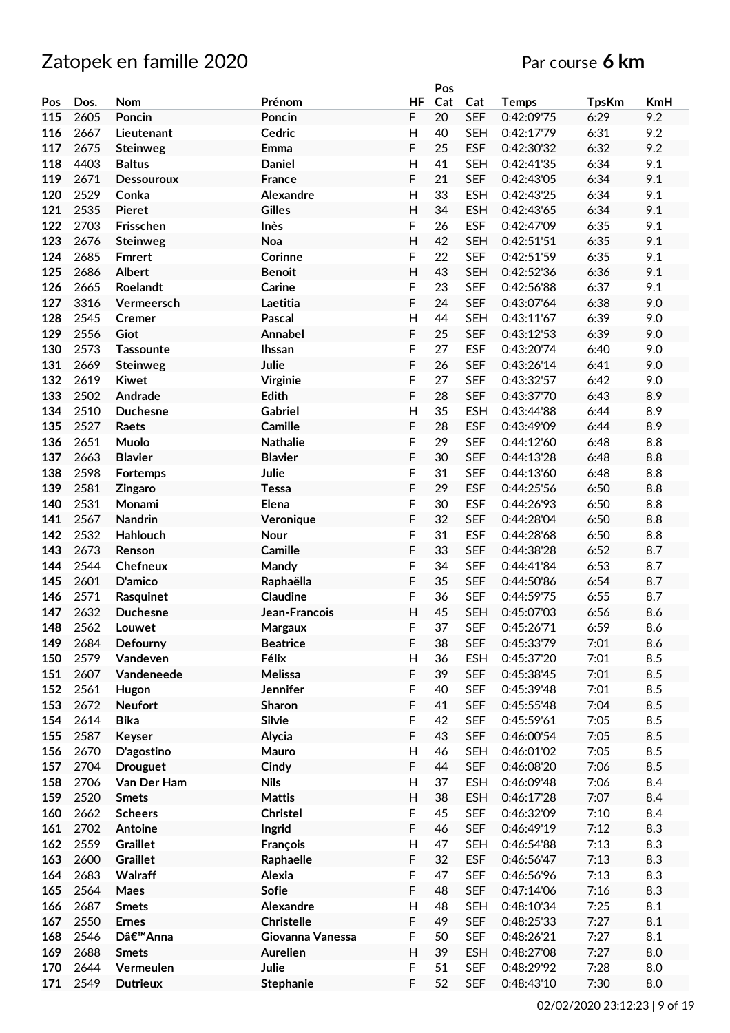|     |      |                   |                   |                | Pos |            |              |              |            |
|-----|------|-------------------|-------------------|----------------|-----|------------|--------------|--------------|------------|
| Pos | Dos. | <b>Nom</b>        | Prénom            | <b>HF</b>      | Cat | Cat        | <b>Temps</b> | <b>TpsKm</b> | <b>KmH</b> |
| 115 | 2605 | Poncin            | Poncin            | F              | 20  | <b>SEF</b> | 0:42:09'75   | 6:29         | 9.2        |
| 116 | 2667 | Lieutenant        | Cedric            | $\overline{H}$ | 40  | <b>SEH</b> | 0:42:17'79   | 6:31         | 9.2        |
| 117 | 2675 | <b>Steinweg</b>   | Emma              | F              | 25  | <b>ESF</b> | 0:42:30'32   | 6:32         | 9.2        |
| 118 | 4403 | <b>Baltus</b>     | <b>Daniel</b>     | $\overline{H}$ | 41  | <b>SEH</b> | 0:42:41'35   | 6:34         | 9.1        |
| 119 | 2671 |                   |                   | F              | 21  | <b>SEF</b> | 0:42:43'05   | 6:34         | 9.1        |
|     |      | <b>Dessouroux</b> | France            |                |     |            |              |              |            |
| 120 | 2529 | Conka             | Alexandre         | H              | 33  | <b>ESH</b> | 0:42:43'25   | 6:34         | 9.1        |
| 121 | 2535 | <b>Pieret</b>     | <b>Gilles</b>     | H              | 34  | <b>ESH</b> | 0:42:43'65   | 6:34         | 9.1        |
| 122 | 2703 | Frisschen         | Inès              | F              | 26  | <b>ESF</b> | 0:42:47'09   | 6:35         | 9.1        |
| 123 | 2676 | <b>Steinweg</b>   | Noa               | H              | 42  | <b>SEH</b> | 0:42:51'51   | 6:35         | 9.1        |
| 124 | 2685 | <b>Fmrert</b>     | Corinne           | F              | 22  | <b>SEF</b> | 0:42:51'59   | 6:35         | 9.1        |
| 125 | 2686 | <b>Albert</b>     | <b>Benoit</b>     | H              | 43  | <b>SEH</b> | 0:42:52'36   | 6:36         | 9.1        |
| 126 | 2665 | Roelandt          | Carine            | F              | 23  | <b>SEF</b> | 0:42:56'88   | 6:37         | 9.1        |
| 127 | 3316 | Vermeersch        | Laetitia          | F              | 24  | <b>SEF</b> | 0:43:07'64   | 6:38         | 9.0        |
| 128 | 2545 | Cremer            | Pascal            | $\overline{H}$ | 44  | <b>SEH</b> | 0:43:11'67   | 6:39         | 9.0        |
| 129 | 2556 | Giot              | Annabel           | F              | 25  | <b>SEF</b> | 0:43:12'53   | 6:39         | 9.0        |
| 130 | 2573 | <b>Tassounte</b>  | <b>Ihssan</b>     | F              | 27  | <b>ESF</b> | 0:43:20'74   | 6:40         | 9.0        |
|     |      |                   |                   |                |     |            |              |              |            |
| 131 | 2669 | <b>Steinweg</b>   | Julie             | F              | 26  | <b>SEF</b> | 0:43:26'14   | 6:41         | 9.0        |
| 132 | 2619 | <b>Kiwet</b>      | Virginie          | F              | 27  | <b>SEF</b> | 0:43:32'57   | 6:42         | 9.0        |
| 133 | 2502 | Andrade           | Edith             | F              | 28  | <b>SEF</b> | 0:43:37'70   | 6:43         | 8.9        |
| 134 | 2510 | <b>Duchesne</b>   | <b>Gabriel</b>    | $\mathsf{H}$   | 35  | <b>ESH</b> | 0:43:44'88   | 6:44         | 8.9        |
| 135 | 2527 | Raets             | Camille           | F              | 28  | <b>ESF</b> | 0:43:49'09   | 6:44         | 8.9        |
| 136 | 2651 | Muolo             | <b>Nathalie</b>   | F              | 29  | <b>SEF</b> | 0:44:12'60   | 6:48         | 8.8        |
| 137 | 2663 | <b>Blavier</b>    | <b>Blavier</b>    | F              | 30  | <b>SEF</b> | 0:44:13'28   | 6:48         | 8.8        |
| 138 | 2598 | Fortemps          | Julie             | F              | 31  | <b>SEF</b> | 0:44:13'60   | 6:48         | 8.8        |
| 139 | 2581 | <b>Zingaro</b>    | <b>Tessa</b>      | F              | 29  | <b>ESF</b> | 0:44:25'56   | 6:50         | 8.8        |
| 140 | 2531 | Monami            | Elena             | F              | 30  | <b>ESF</b> | 0:44:26'93   | 6:50         | 8.8        |
| 141 | 2567 | <b>Nandrin</b>    | Veronique         | F              | 32  | <b>SEF</b> | 0:44:28'04   | 6:50         | 8.8        |
| 142 | 2532 | Hahlouch          | <b>Nour</b>       | F              | 31  | <b>ESF</b> | 0:44:28'68   | 6:50         | 8.8        |
| 143 | 2673 | Renson            | Camille           | F              | 33  | <b>SEF</b> | 0:44:38'28   | 6:52         | 8.7        |
| 144 | 2544 | Chefneux          | Mandy             | F              | 34  | <b>SEF</b> | 0:44:41'84   | 6:53         | 8.7        |
|     |      |                   |                   | F              |     |            | 0:44:50'86   |              |            |
| 145 | 2601 | D'amico           | Raphaëlla         |                | 35  | <b>SEF</b> |              | 6:54         | 8.7        |
| 146 | 2571 | Rasquinet         | Claudine          | F              | 36  | <b>SEF</b> | 0:44:59'75   | 6:55         | 8.7        |
| 147 | 2632 | <b>Duchesne</b>   | Jean-Francois     | H              | 45  | <b>SEH</b> | 0:45:07'03   | 6:56         | 8.6        |
| 148 | 2562 | Louwet            | Margaux           | F              | 37  | <b>SEF</b> | 0:45:26'71   | 6:59         | 8.6        |
| 149 | 2684 | Defourny          | <b>Beatrice</b>   | F              | 38  | <b>SEF</b> | 0:45:33'79   | 7:01         | 8.6        |
| 150 | 2579 | Vandeven          | Félix             | $\mathsf{H}$   | 36  | <b>ESH</b> | 0:45:37'20   | 7:01         | 8.5        |
| 151 | 2607 | Vandeneede        | Melissa           | F              | 39  | <b>SEF</b> | 0:45:38'45   | 7:01         | 8.5        |
| 152 | 2561 | Hugon             | Jennifer          | F              | 40  | <b>SEF</b> | 0:45:39'48   | 7:01         | 8.5        |
| 153 | 2672 | <b>Neufort</b>    | <b>Sharon</b>     | F              | 41  | <b>SEF</b> | 0:45:55'48   | 7:04         | 8.5        |
| 154 | 2614 | <b>Bika</b>       | Silvie            | F              | 42  | <b>SEF</b> | 0:45:59'61   | 7:05         | 8.5        |
| 155 | 2587 | <b>Keyser</b>     | Alycia            | F              | 43  | <b>SEF</b> | 0:46:00'54   | 7:05         | 8.5        |
| 156 | 2670 | D'agostino        | Mauro             | Н              | 46  | <b>SEH</b> | 0:46:01'02   | 7:05         | 8.5        |
| 157 | 2704 | <b>Drouguet</b>   | Cindy             | F              | 44  | <b>SEF</b> | 0:46:08'20   | 7:06         | 8.5        |
| 158 | 2706 | Van Der Ham       | <b>Nils</b>       | H              | 37  | <b>ESH</b> | 0:46:09'48   | 7:06         | 8.4        |
| 159 | 2520 | <b>Smets</b>      | <b>Mattis</b>     | H              | 38  | <b>ESH</b> | 0:46:17'28   | 7:07         | 8.4        |
| 160 | 2662 | <b>Scheers</b>    | Christel          | F              | 45  | <b>SEF</b> | 0:46:32'09   | 7:10         | 8.4        |
| 161 | 2702 | Antoine           | Ingrid            | F              | 46  | <b>SEF</b> | 0:46:49'19   | 7:12         | 8.3        |
|     |      |                   |                   |                |     |            |              |              |            |
| 162 | 2559 | <b>Graillet</b>   | François          | H              | 47  | <b>SEH</b> | 0:46:54'88   | 7:13         | 8.3        |
| 163 | 2600 | <b>Graillet</b>   | Raphaelle         | F              | 32  | <b>ESF</b> | 0:46:56'47   | 7:13         | 8.3        |
| 164 | 2683 | Walraff           | Alexia            | F              | 47  | <b>SEF</b> | 0:46:56'96   | 7:13         | 8.3        |
| 165 | 2564 | Maes              | Sofie             | F              | 48  | <b>SEF</b> | 0:47:14'06   | 7:16         | 8.3        |
| 166 | 2687 | <b>Smets</b>      | Alexandre         | Н              | 48  | <b>SEH</b> | 0:48:10'34   | 7:25         | 8.1        |
| 167 | 2550 | <b>Ernes</b>      | <b>Christelle</b> | F              | 49  | <b>SEF</b> | 0:48:25'33   | 7:27         | 8.1        |
| 168 | 2546 | D'Anna            | Giovanna Vanessa  | F              | 50  | <b>SEF</b> | 0:48:26'21   | 7:27         | 8.1        |
| 169 | 2688 | <b>Smets</b>      | <b>Aurelien</b>   | H              | 39  | <b>ESH</b> | 0:48:27'08   | 7:27         | 8.0        |
| 170 | 2644 | Vermeulen         | Julie             | F              | 51  | <b>SEF</b> | 0:48:29'92   | 7:28         | 8.0        |
| 171 | 2549 | <b>Dutrieux</b>   | <b>Stephanie</b>  | F              | 52  | <b>SEF</b> | 0:48:43'10   | 7:30         | 8.0        |
|     |      |                   |                   |                |     |            |              |              |            |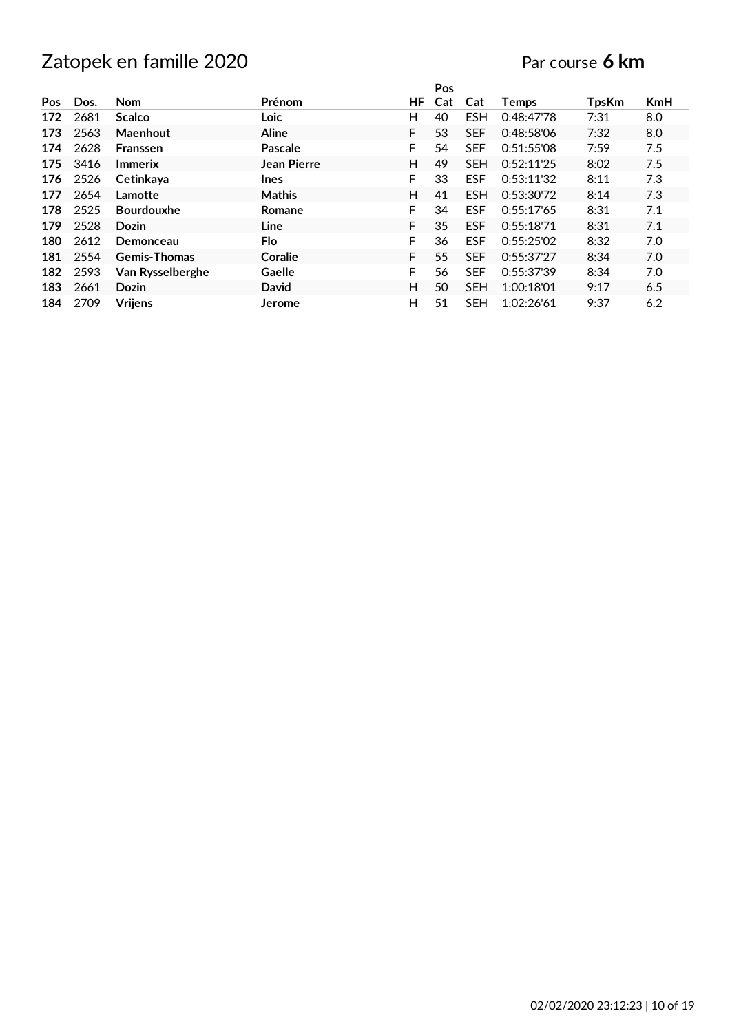|            |      |                     |                |    | Pos |            |              |              |            |
|------------|------|---------------------|----------------|----|-----|------------|--------------|--------------|------------|
| <b>Pos</b> | Dos. | <b>Nom</b>          | Prénom         | ΗF | Cat | Cat        | <b>Temps</b> | <b>TpsKm</b> | <b>KmH</b> |
| 172        | 2681 | <b>Scalco</b>       | Loic           | H  | 40  | <b>ESH</b> | 0:48:47'78   | 7:31         | 8.0        |
| 173        | 2563 | Maenhout            | <b>Aline</b>   | F  | 53  | <b>SEF</b> | 0:48:58'06   | 7:32         | 8.0        |
| 174        | 2628 | Franssen            | <b>Pascale</b> | F  | 54  | <b>SEF</b> | 0:51:55'08   | 7:59         | 7.5        |
| 175        | 3416 | <b>Immerix</b>      | Jean Pierre    | H  | 49  | <b>SEH</b> | 0:52:11'25   | 8:02         | 7.5        |
| 176        | 2526 | Cetinkaya           | <b>Ines</b>    | F  | 33  | <b>ESF</b> | 0:53:11'32   | 8:11         | 7.3        |
| 177        | 2654 | Lamotte             | <b>Mathis</b>  | H  | 41  | <b>ESH</b> | 0:53:30'72   | 8:14         | 7.3        |
| 178        | 2525 | <b>Bourdouxhe</b>   | Romane         | F. | 34  | <b>ESF</b> | 0:55:17'65   | 8:31         | 7.1        |
| 179        | 2528 | <b>Dozin</b>        | Line           | F  | 35  | <b>ESF</b> | 0:55:18'71   | 8:31         | 7.1        |
| 180        | 2612 | Demonceau           | Flo            | F  | 36  | <b>ESF</b> | 0:55:25'02   | 8:32         | 7.0        |
| 181        | 2554 | <b>Gemis-Thomas</b> | Coralie        | F  | 55  | <b>SEF</b> | 0:55:37'27   | 8:34         | 7.0        |
| 182        | 2593 | Van Rysselberghe    | Gaelle         | F. | 56  | <b>SEF</b> | 0:55:37'39   | 8:34         | 7.0        |
| 183        | 2661 | <b>Dozin</b>        | David          | H  | 50  | <b>SEH</b> | 1:00:18'01   | 9:17         | 6.5        |
| 184        | 2709 | <b>Vrijens</b>      | Jerome         | н  | 51  | <b>SEH</b> | 1:02:26'61   | 9:37         | 6.2        |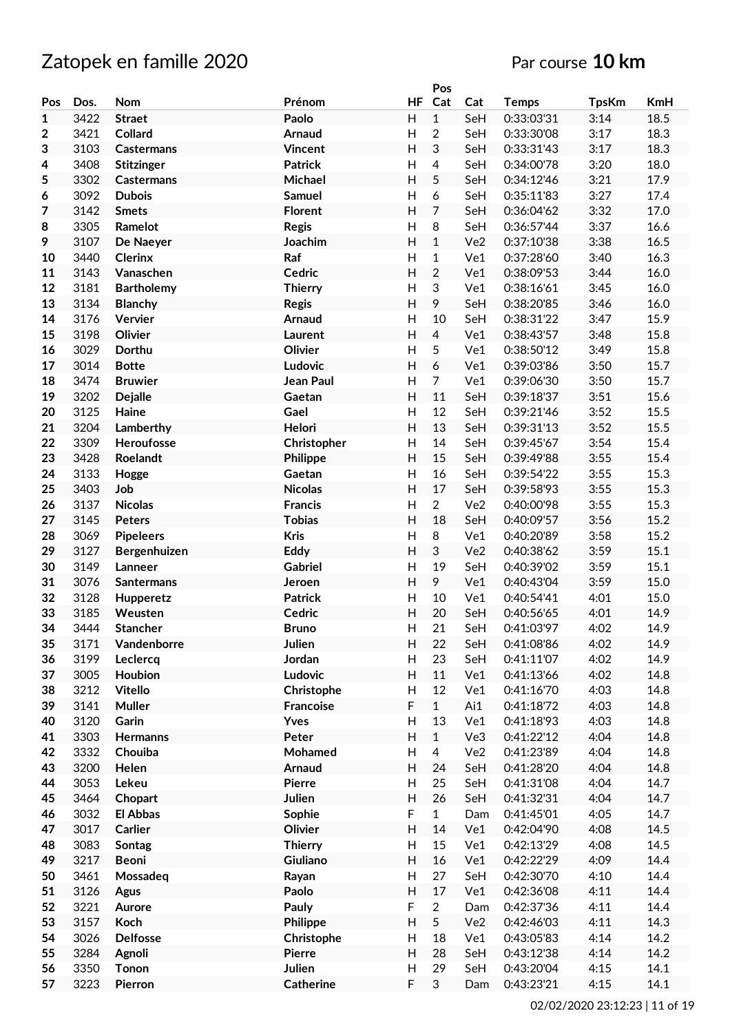# Zatopek en famille 2020 **Par course** 10 km

|                  |      |                   |                  |                           | Pos              |                 |              |              |      |
|------------------|------|-------------------|------------------|---------------------------|------------------|-----------------|--------------|--------------|------|
| Pos              | Dos. | Nom               | Prénom           | <b>HF</b>                 | Cat              | Cat             | <b>Temps</b> | <b>TpsKm</b> | KmH  |
| $\mathbf{1}$     | 3422 | <b>Straet</b>     | Paolo            | H                         | $\overline{1}$   | SeH             | 0:33:03'31   | 3:14         | 18.5 |
| $\boldsymbol{2}$ | 3421 | Collard           | Arnaud           | H                         | $\overline{2}$   | SeH             | 0:33:30'08   | 3:17         | 18.3 |
| 3                | 3103 | <b>Castermans</b> | <b>Vincent</b>   | H                         | $\mathfrak{S}$   | SeH             | 0:33:31'43   | 3:17         | 18.3 |
|                  |      |                   | <b>Patrick</b>   | H                         |                  |                 |              |              | 18.0 |
| 4                | 3408 | <b>Stitzinger</b> |                  |                           | 4                | SeH             | 0:34:00'78   | 3:20         |      |
| 5                | 3302 | Castermans        | Michael          | H                         | 5                | SeH             | 0:34:12'46   | 3:21         | 17.9 |
| 6                | 3092 | <b>Dubois</b>     | <b>Samuel</b>    | H                         | 6                | SeH             | 0:35:11'83   | 3:27         | 17.4 |
| $\overline{7}$   | 3142 | <b>Smets</b>      | <b>Florent</b>   | H                         | $\overline{7}$   | SeH             | 0:36:04'62   | 3:32         | 17.0 |
| 8                | 3305 | Ramelot           | <b>Regis</b>     | H                         | 8                | SeH             | 0:36:57'44   | 3:37         | 16.6 |
| 9                | 3107 | De Naeyer         | Joachim          | H                         | $\mathbf{1}$     | Ve <sub>2</sub> | 0:37:10'38   | 3:38         | 16.5 |
| 10               | 3440 | <b>Clerinx</b>    | Raf              | H                         | $\mathbf{1}$     | Ve1             | 0:37:28'60   | 3:40         | 16.3 |
| 11               | 3143 | Vanaschen         | Cedric           | H                         | $\overline{2}$   | Ve1             | 0:38:09'53   | 3:44         | 16.0 |
| 12               | 3181 | <b>Bartholemy</b> | <b>Thierry</b>   | H                         | $\sqrt{3}$       | Ve1             | 0:38:16'61   | 3:45         | 16.0 |
| 13               | 3134 | <b>Blanchy</b>    | <b>Regis</b>     | H                         | 9                | SeH             | 0:38:20'85   | 3:46         | 16.0 |
|                  |      |                   |                  |                           |                  |                 |              |              |      |
| 14               | 3176 | Vervier           | Arnaud           | H                         | 10               | SeH             | 0:38:31'22   | 3:47         | 15.9 |
| 15               | 3198 | Olivier           | Laurent          | H                         | $\overline{4}$   | Ve1             | 0:38:43'57   | 3:48         | 15.8 |
| 16               | 3029 | Dorthu            | Olivier          | H                         | 5                | Ve1             | 0:38:50'12   | 3:49         | 15.8 |
| 17               | 3014 | <b>Botte</b>      | Ludovic          | $\overline{\mathsf{H}}$   | $\boldsymbol{6}$ | Ve1             | 0:39:03'86   | 3:50         | 15.7 |
| 18               | 3474 | <b>Bruwier</b>    | Jean Paul        | H                         | $\overline{7}$   | Ve1             | 0:39:06'30   | 3:50         | 15.7 |
| 19               | 3202 | <b>Dejalle</b>    | Gaetan           | H                         | 11               | SeH             | 0:39:18'37   | 3:51         | 15.6 |
| 20               | 3125 | Haine             | Gael             | H                         | 12               | SeH             | 0:39:21'46   | 3:52         | 15.5 |
| 21               | 3204 | Lamberthy         | Helori           | H                         | 13               | SeH             | 0:39:31'13   | 3:52         | 15.5 |
| 22               | 3309 | Heroufosse        | Christopher      | H                         | 14               | SeH             | 0:39:45'67   | 3:54         | 15.4 |
| 23               | 3428 | Roelandt          |                  | H                         | 15               | SeH             | 0:39:49'88   | 3:55         | 15.4 |
|                  |      |                   | Philippe         |                           |                  |                 |              |              |      |
| 24               | 3133 | Hogge             | Gaetan           | Н                         | 16               | SeH             | 0:39:54'22   | 3:55         | 15.3 |
| 25               | 3403 | Job               | <b>Nicolas</b>   | H                         | 17               | SeH             | 0:39:58'93   | 3:55         | 15.3 |
| 26               | 3137 | <b>Nicolas</b>    | <b>Francis</b>   | Н                         | $\overline{2}$   | Ve <sub>2</sub> | 0:40:00'98   | 3:55         | 15.3 |
| 27               | 3145 | <b>Peters</b>     | <b>Tobias</b>    | H                         | 18               | SeH             | 0:40:09'57   | 3:56         | 15.2 |
| 28               | 3069 | <b>Pipeleers</b>  | <b>Kris</b>      | H                         | 8                | Ve1             | 0:40:20'89   | 3:58         | 15.2 |
| 29               | 3127 | Bergenhuizen      | Eddy             | H                         | $\mathfrak{S}$   | Ve <sub>2</sub> | 0:40:38'62   | 3:59         | 15.1 |
| 30               | 3149 | Lanneer           | <b>Gabriel</b>   | H                         | 19               | SeH             | 0:40:39'02   | 3:59         | 15.1 |
| 31               | 3076 | <b>Santermans</b> | Jeroen           | H                         | 9                | Ve1             | 0:40:43'04   | 3:59         | 15.0 |
| 32               | 3128 | Hupperetz         | <b>Patrick</b>   | H                         | 10               | Ve1             | 0:40:54'41   | 4:01         | 15.0 |
| 33               | 3185 | Weusten           | Cedric           | $\overline{\mathsf{H}}$   | 20               | SeH             | 0:40:56'65   | 4:01         | 14.9 |
| 34               | 3444 | <b>Stancher</b>   | <b>Bruno</b>     | H                         | 21               | SeH             | 0:41:03'97   | 4:02         | 14.9 |
|                  |      |                   |                  |                           |                  |                 |              |              |      |
| 35               | 3171 | Vandenborre       | Julien           | H                         | 22               | SeH             | 0:41:08'86   | 4:02         | 14.9 |
| 36               | 3199 | Leclercq          | Jordan           | H                         | 23               | SeH             | 0:41:11'07   | 4:02         | 14.9 |
| 37               | 3005 | Houbion           | Ludovic          | H                         | 11               | Ve1             | 0:41:13'66   | 4:02         | 14.8 |
| 38               | 3212 | <b>Vitello</b>    | Christophe       | H                         | 12               | Ve1             | 0:41:16'70   | 4:03         | 14.8 |
| 39               | 3141 | <b>Muller</b>     | <b>Francoise</b> | F                         | $\mathbf{1}$     | Ai1             | 0:41:18'72   | 4:03         | 14.8 |
| 40               | 3120 | Garin             | Yves             | H                         | 13               | Ve1             | 0:41:18'93   | 4:03         | 14.8 |
| 41               | 3303 | Hermanns          | Peter            | H                         | $\mathbf{1}$     | Ve3             | 0:41:22'12   | 4:04         | 14.8 |
| 42               | 3332 | Chouiba           | Mohamed          | $\boldsymbol{\mathsf{H}}$ | $\overline{4}$   | Ve2             | 0:41:23'89   | 4:04         | 14.8 |
| 43               | 3200 | Helen             | Arnaud           | H                         | 24               | SeH             | 0:41:28'20   | 4:04         | 14.8 |
| 44               | 3053 | Lekeu             | <b>Pierre</b>    | $\boldsymbol{\mathsf{H}}$ | 25               | SeH             | 0:41:31'08   | 4:04         | 14.7 |
| 45               | 3464 | Chopart           | Julien           | H                         | 26               | SeH             | 0:41:32'31   | 4:04         | 14.7 |
| 46               | 3032 | <b>El Abbas</b>   | Sophie           | F                         | $\mathbf{1}$     | Dam             | 0:41:45'01   | 4:05         | 14.7 |
|                  |      |                   |                  | H                         |                  |                 |              |              |      |
| 47               | 3017 | Carlier           | Olivier          |                           | 14               | Ve1             | 0:42:04'90   | 4:08         | 14.5 |
| 48               | 3083 | Sontag            | <b>Thierry</b>   | H                         | 15               | Ve1             | 0:42:13'29   | 4:08         | 14.5 |
| 49               | 3217 | <b>Beoni</b>      | Giuliano         | H                         | 16               | Ve1             | 0:42:22'29   | 4:09         | 14.4 |
| 50               | 3461 | Mossadeq          | Rayan            | H                         | 27               | SeH             | 0:42:30'70   | 4:10         | 14.4 |
| 51               | 3126 | <b>Agus</b>       | Paolo            | H                         | 17               | Ve1             | 0:42:36'08   | 4:11         | 14.4 |
| 52               | 3221 | Aurore            | Pauly            | F                         | $\overline{2}$   | Dam             | 0:42:37'36   | 4:11         | 14.4 |
| 53               | 3157 | Koch              | Philippe         | H                         | 5                | Ve2             | 0:42:46'03   | 4:11         | 14.3 |
| 54               | 3026 | <b>Delfosse</b>   | Christophe       | H                         | 18               | Ve1             | 0:43:05'83   | 4:14         | 14.2 |
| 55               | 3284 | Agnoli            | Pierre           | H                         | 28               | SeH             | 0:43:12'38   | 4:14         | 14.2 |
| 56               | 3350 | Tonon             | Julien           | $\boldsymbol{\mathsf{H}}$ | 29               | SeH             | 0:43:20'04   | 4:15         | 14.1 |
| 57               | 3223 | Pierron           | <b>Catherine</b> | F                         | $\mathfrak{S}$   | Dam             | 0:43:23'21   | 4:15         | 14.1 |
|                  |      |                   |                  |                           |                  |                 |              |              |      |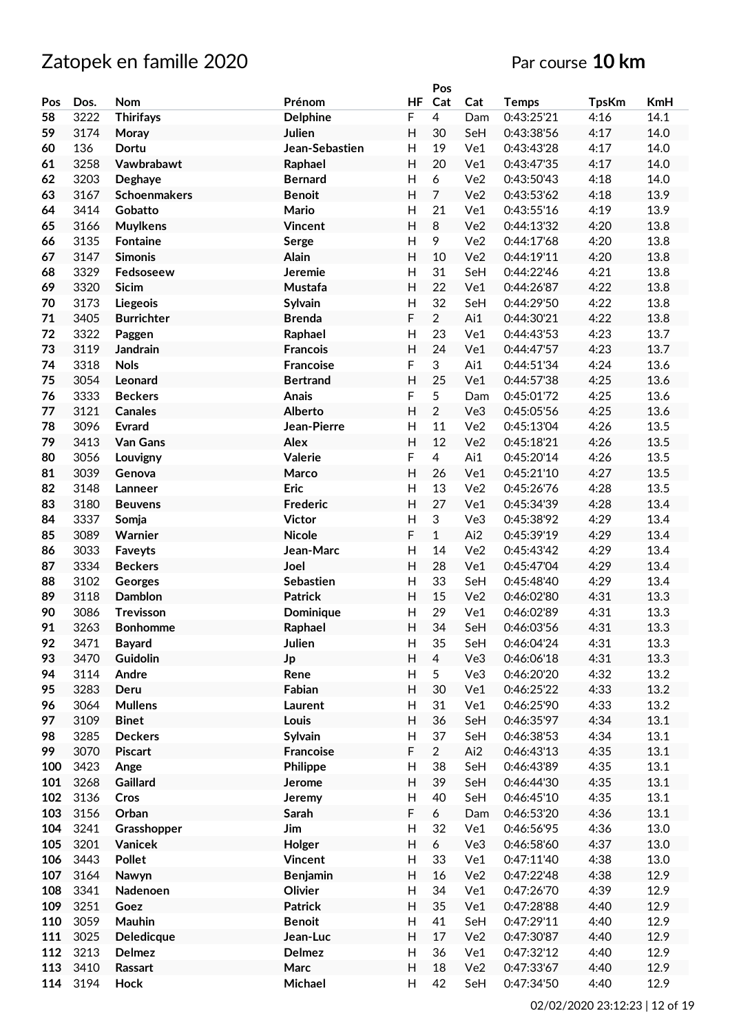|     |      |                     |                  |              | Pos            |                 |              |              |            |
|-----|------|---------------------|------------------|--------------|----------------|-----------------|--------------|--------------|------------|
| Pos | Dos. | Nom                 | Prénom           | <b>HF</b>    | Cat            | Cat             | <b>Temps</b> | <b>TpsKm</b> | <b>KmH</b> |
| 58  | 3222 | <b>Thirifays</b>    | <b>Delphine</b>  | F            | $\overline{4}$ | Dam             | 0:43:25'21   | 4:16         | 14.1       |
| 59  | 3174 | Moray               | Julien           | H            | 30             | SeH             | 0:43:38'56   | 4:17         | 14.0       |
| 60  | 136  | <b>Dortu</b>        | Jean-Sebastien   | Н            | 19             | Ve1             | 0:43:43'28   | 4:17         | 14.0       |
| 61  | 3258 | Vawbrabawt          | Raphael          | H            | 20             | Ve1             | 0:43:47'35   | 4:17         | 14.0       |
| 62  | 3203 | Deghaye             | <b>Bernard</b>   | H            | 6              | Ve <sub>2</sub> | 0:43:50'43   | 4:18         | 14.0       |
|     |      |                     |                  |              | $\overline{7}$ |                 |              |              | 13.9       |
| 63  | 3167 | <b>Schoenmakers</b> | <b>Benoit</b>    | H            |                | Ve <sub>2</sub> | 0:43:53'62   | 4:18         |            |
| 64  | 3414 | Gobatto             | Mario            | H            | 21             | Ve1             | 0:43:55'16   | 4:19         | 13.9       |
| 65  | 3166 | <b>Muylkens</b>     | Vincent          | H            | 8              | Ve <sub>2</sub> | 0:44:13'32   | 4:20         | 13.8       |
| 66  | 3135 | <b>Fontaine</b>     | Serge            | H            | 9              | Ve <sub>2</sub> | 0:44:17'68   | 4:20         | 13.8       |
| 67  | 3147 | <b>Simonis</b>      | Alain            | H            | 10             | Ve <sub>2</sub> | 0:44:19'11   | 4:20         | 13.8       |
| 68  | 3329 | Fedsoseew           | Jeremie          | Η            | 31             | SeH             | 0:44:22'46   | 4:21         | 13.8       |
| 69  | 3320 | Sicim               | Mustafa          | H            | 22             | Ve1             | 0:44:26'87   | 4:22         | 13.8       |
| 70  | 3173 | Liegeois            | Sylvain          | $\mathsf{H}$ | 32             | SeH             | 0:44:29'50   | 4:22         | 13.8       |
| 71  | 3405 | <b>Burrichter</b>   | <b>Brenda</b>    | F            | $\overline{2}$ | Ai1             | 0:44:30'21   | 4:22         | 13.8       |
| 72  | 3322 | Paggen              | Raphael          | H            | 23             | Ve1             | 0:44:43'53   | 4:23         | 13.7       |
| 73  | 3119 | <b>Jandrain</b>     | <b>Francois</b>  | H            | 24             | Ve1             | 0:44:47'57   | 4:23         | 13.7       |
| 74  | 3318 | <b>Nols</b>         | <b>Francoise</b> | F            | 3              | Ai1             | 0:44:51'34   | 4:24         | 13.6       |
| 75  | 3054 | Leonard             | <b>Bertrand</b>  | H            | 25             | Ve1             | 0:44:57'38   | 4:25         | 13.6       |
| 76  | 3333 | <b>Beckers</b>      | <b>Anais</b>     | F            | 5              | Dam             | 0:45:01'72   | 4:25         | 13.6       |
| 77  | 3121 | <b>Canales</b>      | Alberto          | H            | $\overline{2}$ | Ve3             | 0:45:05'56   | 4:25         | 13.6       |
| 78  | 3096 | <b>Evrard</b>       | Jean-Pierre      | Η            | 11             | Ve <sub>2</sub> | 0:45:13'04   | 4:26         | 13.5       |
| 79  | 3413 | Van Gans            | Alex             | H            | 12             | Ve <sub>2</sub> | 0:45:18'21   | 4:26         | 13.5       |
| 80  | 3056 | Louvigny            | Valerie          | F            | $\overline{4}$ | Ai1             | 0:45:20'14   | 4:26         | 13.5       |
| 81  | 3039 |                     | Marco            | H            | 26             | Ve1             | 0:45:21'10   | 4:27         | 13.5       |
|     |      | Genova              |                  |              |                |                 |              |              |            |
| 82  | 3148 | Lanneer             | <b>Eric</b>      | H            | 13             | Ve <sub>2</sub> | 0:45:26'76   | 4:28         | 13.5       |
| 83  | 3180 | <b>Beuvens</b>      | <b>Frederic</b>  | H            | 27             | Ve1             | 0:45:34'39   | 4:28         | 13.4       |
| 84  | 3337 | Somja               | <b>Victor</b>    | Η            | 3              | Ve3             | 0:45:38'92   | 4:29         | 13.4       |
| 85  | 3089 | Warnier             | <b>Nicole</b>    | F            | $\mathbf{1}$   | Ai2             | 0:45:39'19   | 4:29         | 13.4       |
| 86  | 3033 | Faveyts             | Jean-Marc        | Η            | 14             | Ve <sub>2</sub> | 0:45:43'42   | 4:29         | 13.4       |
| 87  | 3334 | <b>Beckers</b>      | Joel             | H            | 28             | Ve1             | 0:45:47'04   | 4:29         | 13.4       |
| 88  | 3102 | Georges             | Sebastien        | Н            | 33             | SeH             | 0:45:48'40   | 4:29         | 13.4       |
| 89  | 3118 | Damblon             | <b>Patrick</b>   | H            | 15             | Ve <sub>2</sub> | 0:46:02'80   | 4:31         | 13.3       |
| 90  | 3086 | Trevisson           | Dominique        | H            | 29             | Ve1             | 0:46:02'89   | 4:31         | 13.3       |
| 91  | 3263 | <b>Bonhomme</b>     | Raphael          | H            | 34             | SeH             | 0:46:03'56   | 4:31         | 13.3       |
| 92  | 3471 | <b>Bayard</b>       | Julien           | Н            | 35             | SeH             | 0:46:04'24   | 4:31         | 13.3       |
| 93  | 3470 | Guidolin            | Jp               | H            | $\overline{4}$ | Ve3             | 0:46:06'18   | 4:31         | 13.3       |
| 94  | 3114 | Andre               | Rene             | H            | 5              | Ve3             | 0:46:20'20   | 4:32         | 13.2       |
| 95  | 3283 | Deru                | Fabian           | H            | 30             | Ve1             | 0:46:25'22   | 4:33         | 13.2       |
| 96  | 3064 | <b>Mullens</b>      | Laurent          | H            | 31             | Ve1             | 0:46:25'90   | 4:33         | 13.2       |
| 97  | 3109 | <b>Binet</b>        | Louis            | H            | 36             | SeH             | 0:46:35'97   | 4:34         | 13.1       |
| 98  | 3285 | <b>Deckers</b>      | Sylvain          | Н            | 37             | SeH             | 0:46:38'53   | 4:34         | 13.1       |
| 99  | 3070 | <b>Piscart</b>      | <b>Francoise</b> | F            | $\overline{2}$ | Ai2             | 0:46:43'13   | 4:35         | 13.1       |
| 100 | 3423 | Ange                | Philippe         | Н            | 38             | SeH             | 0:46:43'89   | 4:35         | 13.1       |
| 101 | 3268 | Gaillard            | Jerome           | H            | 39             | SeH             | 0:46:44'30   | 4:35         | 13.1       |
| 102 | 3136 | Cros                | Jeremy           | Н            | 40             | SeH             | 0:46:45'10   | 4:35         | 13.1       |
| 103 | 3156 | Orban               | Sarah            | F            | 6              | Dam             | 0:46:53'20   | 4:36         | 13.1       |
| 104 | 3241 |                     | Jim              | Н            | 32             | Ve1             |              |              | 13.0       |
|     |      | Grasshopper         |                  |              |                |                 | 0:46:56'95   | 4:36         |            |
| 105 | 3201 | Vanicek             | Holger           | H            | 6              | Ve3             | 0:46:58'60   | 4:37         | 13.0       |
| 106 | 3443 | Pollet              | <b>Vincent</b>   | H            | 33             | Ve1             | 0:47:11'40   | 4:38         | 13.0       |
| 107 | 3164 | Nawyn               | <b>Benjamin</b>  | H            | 16             | Ve2             | 0:47:22'48   | 4:38         | 12.9       |
| 108 | 3341 | Nadenoen            | Olivier          | H            | 34             | Ve1             | 0:47:26'70   | 4:39         | 12.9       |
| 109 | 3251 | Goez                | <b>Patrick</b>   | H            | 35             | Ve1             | 0:47:28'88   | 4:40         | 12.9       |
| 110 | 3059 | Mauhin              | <b>Benoit</b>    | H            | 41             | SeH             | 0:47:29'11   | 4:40         | 12.9       |
| 111 | 3025 | Deledicque          | Jean-Luc         | H            | 17             | Ve2             | 0:47:30'87   | 4:40         | 12.9       |
| 112 | 3213 | Delmez              | Delmez           | Н            | 36             | Ve1             | 0:47:32'12   | 4:40         | 12.9       |
| 113 | 3410 | Rassart             | Marc             | H            | 18             | Ve2             | 0:47:33'67   | 4:40         | 12.9       |
| 114 | 3194 | <b>Hock</b>         | Michael          | H            | 42             | SeH             | 0:47:34'50   | 4:40         | 12.9       |
|     |      |                     |                  |              |                |                 |              |              |            |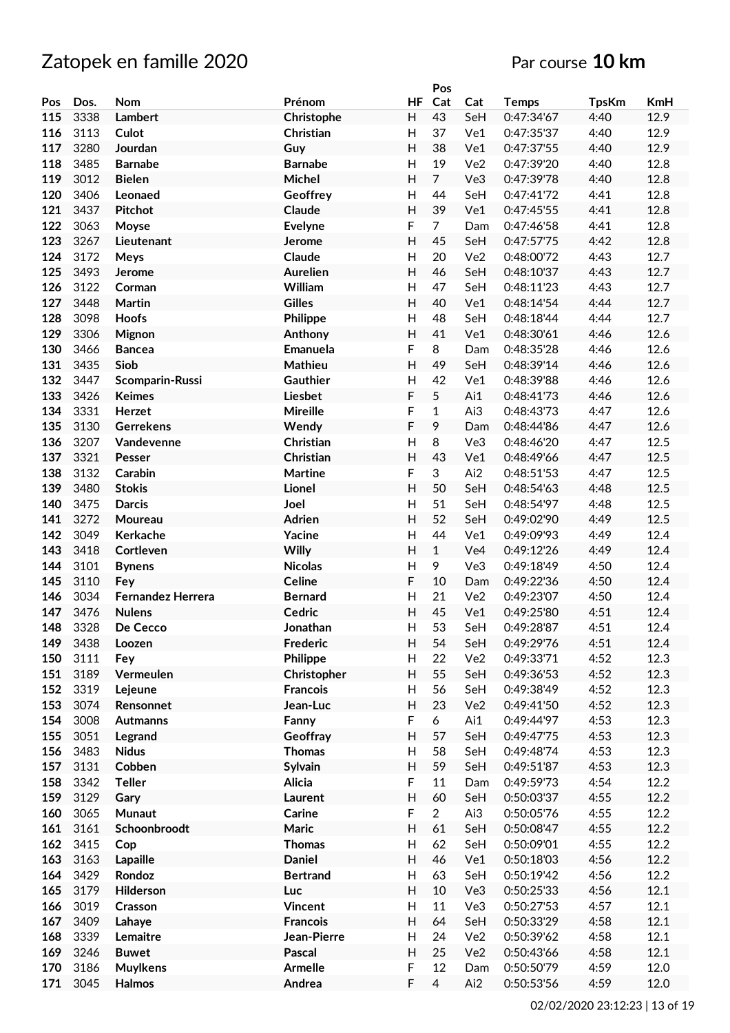|     |      |                   |                 |                         | Pos            |                 |              |              |            |
|-----|------|-------------------|-----------------|-------------------------|----------------|-----------------|--------------|--------------|------------|
| Pos | Dos. | Nom               | Prénom          | <b>HF</b>               | Cat            | Cat             | <b>Temps</b> | <b>TpsKm</b> | <b>KmH</b> |
| 115 | 3338 | Lambert           | Christophe      | H                       | 43             | SeH             | 0:47:34'67   | 4:40         | 12.9       |
| 116 | 3113 | Culot             | Christian       | H                       | 37             | Ve1             | 0:47:35'37   | 4:40         | 12.9       |
| 117 | 3280 | Jourdan           | Guy             | H                       | 38             | Ve1             | 0:47:37'55   | 4:40         | 12.9       |
| 118 | 3485 | <b>Barnabe</b>    | <b>Barnabe</b>  | H                       | 19             | Ve <sub>2</sub> | 0:47:39'20   | 4:40         | 12.8       |
| 119 | 3012 | <b>Bielen</b>     | Michel          | H                       | $\overline{7}$ | Ve3             | 0:47:39'78   | 4:40         | 12.8       |
|     |      |                   |                 |                         |                |                 |              |              |            |
| 120 | 3406 | Leonaed           | Geoffrey        | H                       | 44             | SeH             | 0:47:41'72   | 4:41         | 12.8       |
| 121 | 3437 | <b>Pitchot</b>    | Claude          | H                       | 39             | Ve1             | 0:47:45'55   | 4:41         | 12.8       |
| 122 | 3063 | Moyse             | Evelyne         | F                       | $\overline{7}$ | Dam             | 0:47:46'58   | 4:41         | 12.8       |
| 123 | 3267 | Lieutenant        | Jerome          | H                       | 45             | SeH             | 0:47:57'75   | 4:42         | 12.8       |
| 124 | 3172 | <b>Meys</b>       | Claude          | H                       | 20             | Ve2             | 0:48:00'72   | 4:43         | 12.7       |
| 125 | 3493 | Jerome            | <b>Aurelien</b> | H                       | 46             | SeH             | 0:48:10'37   | 4:43         | 12.7       |
| 126 | 3122 | Corman            | William         | H                       | 47             | SeH             | 0:48:11'23   | 4:43         | 12.7       |
| 127 | 3448 | <b>Martin</b>     | <b>Gilles</b>   | H                       | 40             | Ve1             | 0:48:14'54   | 4:44         | 12.7       |
| 128 | 3098 | <b>Hoofs</b>      | Philippe        | H                       | 48             | SeH             | 0:48:18'44   | 4:44         | 12.7       |
| 129 | 3306 | <b>Mignon</b>     | Anthony         | H                       | 41             | Ve1             | 0:48:30'61   | 4:46         | 12.6       |
| 130 | 3466 | <b>Bancea</b>     | Emanuela        | F                       | 8              | Dam             | 0:48:35'28   | 4:46         | 12.6       |
| 131 | 3435 | Siob              | Mathieu         | H                       | 49             | SeH             | 0:48:39'14   | 4:46         | 12.6       |
| 132 | 3447 | Scomparin-Russi   | Gauthier        | Н                       | 42             | Ve1             | 0:48:39'88   | 4:46         | 12.6       |
| 133 | 3426 | <b>Keimes</b>     | Liesbet         | F                       | 5              | Ai1             | 0:48:41'73   | 4:46         | 12.6       |
|     | 3331 |                   |                 |                         | $\mathbf{1}$   |                 |              |              |            |
| 134 |      | Herzet            | <b>Mireille</b> | F                       |                | Ai3             | 0:48:43'73   | 4:47         | 12.6       |
| 135 | 3130 | <b>Gerrekens</b>  | Wendy           | F                       | 9              | Dam             | 0:48:44'86   | 4:47         | 12.6       |
| 136 | 3207 | Vandevenne        | Christian       | $\overline{H}$          | 8              | Ve3             | 0:48:46'20   | 4:47         | 12.5       |
| 137 | 3321 | Pesser            | Christian       | H                       | 43             | Ve1             | 0:48:49'66   | 4:47         | 12.5       |
| 138 | 3132 | Carabin           | <b>Martine</b>  | F                       | 3              | Ai2             | 0:48:51'53   | 4:47         | 12.5       |
| 139 | 3480 | <b>Stokis</b>     | Lionel          | H                       | 50             | SeH             | 0:48:54'63   | 4:48         | 12.5       |
| 140 | 3475 | <b>Darcis</b>     | Joel            | Н                       | 51             | SeH             | 0:48:54'97   | 4:48         | 12.5       |
| 141 | 3272 | Moureau           | <b>Adrien</b>   | H                       | 52             | SeH             | 0:49:02'90   | 4:49         | 12.5       |
| 142 | 3049 | Kerkache          | Yacine          | H                       | 44             | Ve1             | 0:49:09'93   | 4:49         | 12.4       |
| 143 | 3418 | Cortleven         | Willy           | H                       | $\mathbf{1}$   | Ve4             | 0:49:12'26   | 4:49         | 12.4       |
| 144 | 3101 | <b>Bynens</b>     | <b>Nicolas</b>  | H                       | 9              | Ve3             | 0:49:18'49   | 4:50         | 12.4       |
| 145 | 3110 | Fey               | <b>Celine</b>   | F                       | 10             | Dam             | 0:49:22'36   | 4:50         | 12.4       |
| 146 | 3034 | Fernandez Herrera | <b>Bernard</b>  | H                       | 21             | Ve2             | 0:49:23'07   | 4:50         | 12.4       |
| 147 | 3476 | <b>Nulens</b>     | Cedric          | $\overline{\mathsf{H}}$ | 45             | Ve1             | 0:49:25'80   | 4:51         | 12.4       |
| 148 | 3328 | De Cecco          | Jonathan        | Н                       | 53             | SeH             | 0:49:28'87   | 4:51         | 12.4       |
| 149 | 3438 | Loozen            | <b>Frederic</b> | H                       | 54             | SeH             | 0:49:29'76   | 4:51         | 12.4       |
| 150 | 3111 | Fey               | Philippe        | H                       | 22             | Ve2             | 0:49:33'71   | 4:52         | 12.3       |
| 151 | 3189 | Vermeulen         |                 | H                       | 55             | SeH             | 0:49:36'53   | 4:52         | 12.3       |
|     | 3319 |                   | Christopher     |                         |                |                 |              |              |            |
| 152 |      | Lejeune           | <b>Francois</b> | H                       | 56             | SeH             | 0:49:38'49   | 4:52         | 12.3       |
| 153 | 3074 | Rensonnet         | Jean-Luc        | H                       | 23             | Ve2             | 0:49:41'50   | 4:52         | 12.3       |
| 154 | 3008 | <b>Autmanns</b>   | Fanny           | F                       | 6              | Ai1             | 0:49:44'97   | 4:53         | 12.3       |
| 155 | 3051 | Legrand           | Geoffray        | H                       | 57             | SeH             | 0:49:47'75   | 4:53         | 12.3       |
| 156 | 3483 | <b>Nidus</b>      | <b>Thomas</b>   | Н                       | 58             | SeH             | 0:49:48'74   | 4:53         | 12.3       |
| 157 | 3131 | Cobben            | Sylvain         | H                       | 59             | SeH             | 0:49:51'87   | 4:53         | 12.3       |
| 158 | 3342 | <b>Teller</b>     | Alicia          | F                       | 11             | Dam             | 0:49:59'73   | 4:54         | 12.2       |
| 159 | 3129 | Gary              | Laurent         | H                       | 60             | SeH             | 0:50:03'37   | 4:55         | 12.2       |
| 160 | 3065 | Munaut            | Carine          | F                       | $\overline{2}$ | Ai3             | 0:50:05'76   | 4:55         | 12.2       |
| 161 | 3161 | Schoonbroodt      | Maric           | H                       | 61             | SeH             | 0:50:08'47   | 4:55         | 12.2       |
| 162 | 3415 | Cop               | <b>Thomas</b>   | H                       | 62             | SeH             | 0:50:09'01   | 4:55         | 12.2       |
| 163 | 3163 | Lapaille          | <b>Daniel</b>   | H                       | 46             | Ve1             | 0:50:18'03   | 4:56         | 12.2       |
| 164 | 3429 | Rondoz            | <b>Bertrand</b> | H                       | 63             | SeH             | 0:50:19'42   | 4:56         | 12.2       |
| 165 | 3179 | Hilderson         | Luc             | H                       | 10             | Ve3             | 0:50:25'33   | 4:56         | 12.1       |
| 166 | 3019 | Crasson           | Vincent         | H                       | 11             | Ve3             | 0:50:27'53   | 4:57         | 12.1       |
| 167 | 3409 |                   | <b>Francois</b> | H                       | 64             | SeH             |              |              | 12.1       |
|     |      | Lahaye            |                 |                         |                |                 | 0:50:33'29   | 4:58         |            |
| 168 | 3339 | Lemaitre          | Jean-Pierre     | H                       | 24             | Ve2             | 0:50:39'62   | 4:58         | 12.1       |
| 169 | 3246 | <b>Buwet</b>      | Pascal          | H                       | 25             | Ve2             | 0:50:43'66   | 4:58         | 12.1       |
| 170 | 3186 | <b>Muylkens</b>   | Armelle         | F                       | 12             | Dam             | 0:50:50'79   | 4:59         | 12.0       |
| 171 | 3045 | Halmos            | Andrea          | F                       | $\overline{4}$ | Ai2             | 0:50:53'56   | 4:59         | 12.0       |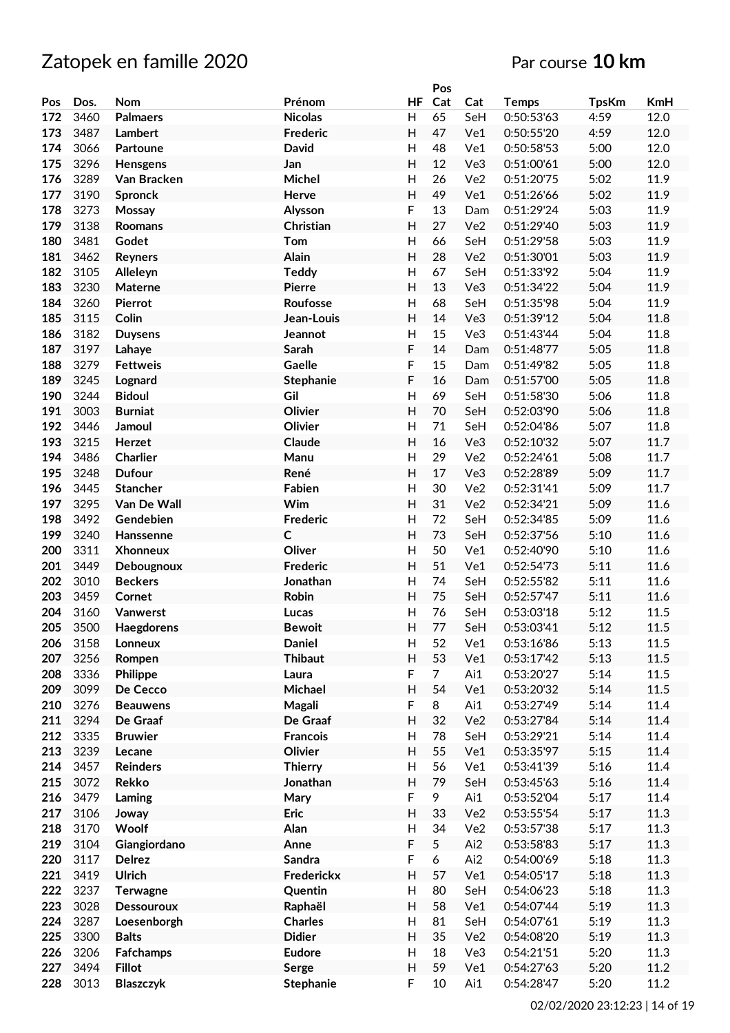|     |      |                   |                 |           | Pos            |                 |              |              |            |
|-----|------|-------------------|-----------------|-----------|----------------|-----------------|--------------|--------------|------------|
| Pos | Dos. | Nom               | Prénom          | <b>HF</b> | Cat            | Cat             | <b>Temps</b> | <b>TpsKm</b> | <b>KmH</b> |
| 172 | 3460 | <b>Palmaers</b>   | <b>Nicolas</b>  | H         | 65             | SeH             | 0:50:53'63   | 4:59         | 12.0       |
|     |      |                   |                 |           |                |                 |              |              |            |
| 173 | 3487 | Lambert           | <b>Frederic</b> | H         | 47             | Ve1             | 0:50:55'20   | 4:59         | 12.0       |
| 174 | 3066 | Partoune          | <b>David</b>    | H         | 48             | Ve1             | 0:50:58'53   | 5:00         | 12.0       |
| 175 | 3296 | Hensgens          | Jan             | H         | 12             | Ve3             | 0:51:00'61   | 5:00         | 12.0       |
| 176 | 3289 | Van Bracken       | Michel          | H         | 26             | Ve <sub>2</sub> | 0:51:20'75   | 5:02         | 11.9       |
| 177 | 3190 | <b>Spronck</b>    | Herve           | H         | 49             | Ve1             | 0:51:26'66   | 5:02         | 11.9       |
| 178 | 3273 | Mossay            | Alysson         | F         | 13             | Dam             | 0:51:29'24   | 5:03         | 11.9       |
| 179 | 3138 | <b>Roomans</b>    | Christian       | H         | 27             | Ve <sub>2</sub> | 0:51:29'40   | 5:03         | 11.9       |
| 180 | 3481 |                   |                 | H         | 66             |                 | 0:51:29'58   |              | 11.9       |
|     |      | Godet             | Tom             |           |                | SeH             |              | 5:03         |            |
| 181 | 3462 | <b>Reyners</b>    | Alain           | H         | 28             | Ve <sub>2</sub> | 0:51:30'01   | 5:03         | 11.9       |
| 182 | 3105 | Alleleyn          | <b>Teddy</b>    | H         | 67             | SeH             | 0:51:33'92   | 5:04         | 11.9       |
| 183 | 3230 | Materne           | <b>Pierre</b>   | H         | 13             | Ve3             | 0:51:34'22   | 5:04         | 11.9       |
| 184 | 3260 | Pierrot           | Roufosse        | Н         | 68             | SeH             | 0:51:35'98   | 5:04         | 11.9       |
| 185 | 3115 | Colin             | Jean-Louis      | H         | 14             | Ve3             | 0:51:39'12   | 5:04         | 11.8       |
| 186 | 3182 | <b>Duysens</b>    | Jeannot         | H         | 15             | Ve3             | 0:51:43'44   | 5:04         | 11.8       |
| 187 | 3197 | Lahaye            | Sarah           | F         | 14             | Dam             | 0:51:48'77   | 5:05         | 11.8       |
| 188 | 3279 | <b>Fettweis</b>   | Gaelle          | F         | 15             | Dam             | 0:51:49'82   | 5:05         | 11.8       |
|     |      |                   |                 |           |                |                 |              |              |            |
| 189 | 3245 | Lognard           | Stephanie       | F         | 16             | Dam             | 0:51:57'00   | 5:05         | 11.8       |
| 190 | 3244 | <b>Bidoul</b>     | Gil             | H         | 69             | SeH             | 0:51:58'30   | 5:06         | 11.8       |
| 191 | 3003 | <b>Burniat</b>    | Olivier         | H         | 70             | SeH             | 0:52:03'90   | 5:06         | 11.8       |
| 192 | 3446 | Jamoul            | Olivier         | H         | 71             | SeH             | 0:52:04'86   | 5:07         | 11.8       |
| 193 | 3215 | Herzet            | Claude          | H         | 16             | Ve <sub>3</sub> | 0:52:10'32   | 5:07         | 11.7       |
| 194 | 3486 | Charlier          | Manu            | H         | 29             | Ve2             | 0:52:24'61   | 5:08         | 11.7       |
| 195 | 3248 | <b>Dufour</b>     | René            | H         | 17             | Ve3             | 0:52:28'89   | 5:09         | 11.7       |
| 196 | 3445 | <b>Stancher</b>   | Fabien          | H         | 30             | Ve2             | 0:52:31'41   | 5:09         | 11.7       |
| 197 | 3295 | Van De Wall       | Wim             | H         | 31             |                 |              | 5:09         | 11.6       |
|     |      |                   |                 |           |                | Ve2             | 0:52:34'21   |              |            |
| 198 | 3492 | Gendebien         | <b>Frederic</b> | Н         | 72             | SeH             | 0:52:34'85   | 5:09         | 11.6       |
| 199 | 3240 | Hanssenne         | $\mathsf{C}$    | H         | 73             | SeH             | 0:52:37'56   | 5:10         | 11.6       |
| 200 | 3311 | <b>Xhonneux</b>   | Oliver          | H         | 50             | Ve1             | 0:52:40'90   | 5:10         | 11.6       |
| 201 | 3449 | Debougnoux        | <b>Frederic</b> | H         | 51             | Ve1             | 0:52:54'73   | 5:11         | 11.6       |
| 202 | 3010 | <b>Beckers</b>    | Jonathan        | Н         | 74             | SeH             | 0:52:55'82   | 5:11         | 11.6       |
| 203 | 3459 | Cornet            | Robin           | H         | 75             | SeH             | 0:52:57'47   | 5:11         | 11.6       |
| 204 | 3160 | Vanwerst          | Lucas           | H         | 76             | SeH             | 0:53:03'18   | 5:12         | 11.5       |
| 205 | 3500 | Haegdorens        | <b>Bewoit</b>   | Н         | 77             | SeH             | 0:53:03'41   | 5:12         | 11.5       |
| 206 | 3158 | Lonneux           | <b>Daniel</b>   | H         | 52             | Ve1             | 0:53:16'86   | 5:13         | 11.5       |
| 207 | 3256 |                   | <b>Thibaut</b>  |           | 53             |                 |              |              |            |
|     |      | Rompen            |                 | H         |                | Ve1             | 0:53:17'42   | 5:13         | 11.5       |
| 208 | 3336 | Philippe          | Laura           | F         | $\overline{7}$ | Ai1             | 0:53:20'27   | 5:14         | 11.5       |
| 209 | 3099 | De Cecco          | Michael         | H         | 54             | Ve1             | 0:53:20'32   | 5:14         | 11.5       |
| 210 | 3276 | <b>Beauwens</b>   | Magali          | F         | 8              | Ai1             | 0:53:27'49   | 5:14         | 11.4       |
| 211 | 3294 | De Graaf          | De Graaf        | H         | 32             | Ve2             | 0:53:27'84   | 5:14         | 11.4       |
| 212 | 3335 | <b>Bruwier</b>    | <b>Francois</b> | Н         | 78             | SeH             | 0:53:29'21   | 5:14         | 11.4       |
| 213 | 3239 | Lecane            | Olivier         | H         | 55             | Ve1             | 0:53:35'97   | 5:15         | 11.4       |
| 214 | 3457 | <b>Reinders</b>   | <b>Thierry</b>  | H         | 56             | Ve1             | 0:53:41'39   | 5:16         | 11.4       |
| 215 | 3072 | <b>Rekko</b>      | Jonathan        | H         | 79             | SeH             | 0:53:45'63   | 5:16         | 11.4       |
| 216 | 3479 |                   |                 | F         |                | Ai1             |              | 5:17         |            |
|     |      | Laming            | Mary            |           | 9              |                 | 0:53:52'04   |              | 11.4       |
| 217 | 3106 | Joway             | Eric            | Н         | 33             | Ve2             | 0:53:55'54   | 5:17         | 11.3       |
| 218 | 3170 | Woolf             | Alan            | Н         | 34             | Ve2             | 0:53:57'38   | 5:17         | 11.3       |
| 219 | 3104 | Giangiordano      | Anne            | F         | 5              | Ai2             | 0:53:58'83   | 5:17         | 11.3       |
| 220 | 3117 | <b>Delrez</b>     | <b>Sandra</b>   | F         | 6              | Ai2             | 0:54:00'69   | 5:18         | 11.3       |
| 221 | 3419 | <b>Ulrich</b>     | Frederickx      | H         | 57             | Ve1             | 0:54:05'17   | 5:18         | 11.3       |
| 222 | 3237 | <b>Terwagne</b>   | Quentin         | H         | 80             | SeH             | 0:54:06'23   | 5:18         | $11.3\,$   |
| 223 | 3028 | <b>Dessouroux</b> | Raphaël         | H         | 58             | Ve1             | 0:54:07'44   | 5:19         | 11.3       |
| 224 | 3287 | Loesenborgh       | <b>Charles</b>  | H         | 81             | SeH             | 0:54:07'61   | 5:19         | 11.3       |
|     |      |                   |                 |           |                |                 |              |              |            |
| 225 | 3300 | <b>Balts</b>      | <b>Didier</b>   | H         | 35             | Ve2             | 0:54:08'20   | 5:19         | 11.3       |
| 226 | 3206 | <b>Fafchamps</b>  | <b>Eudore</b>   | Н         | 18             | Ve3             | 0:54:21'51   | 5:20         | 11.3       |
| 227 | 3494 | <b>Fillot</b>     | Serge           | H         | 59             | Ve1             | 0:54:27'63   | 5:20         | 11.2       |
| 228 | 3013 | <b>Blaszczyk</b>  | Stephanie       | F         | 10             | Ai1             | 0:54:28'47   | 5:20         | 11.2       |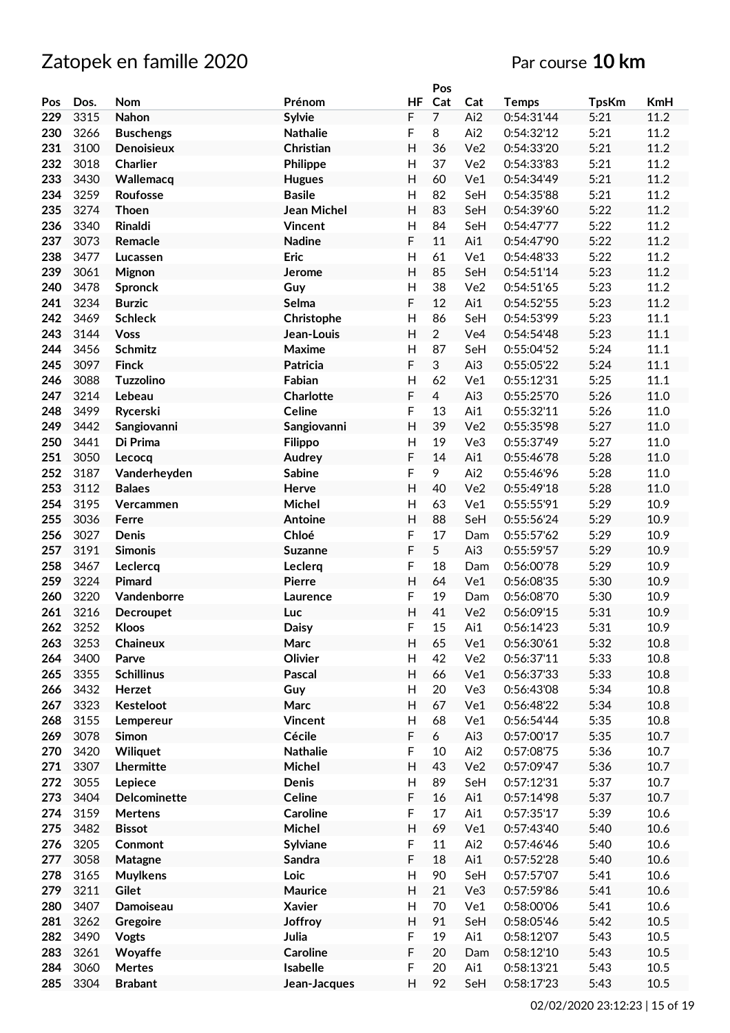|     |      |                   |                    |                           | Pos            |                 |              |              |            |
|-----|------|-------------------|--------------------|---------------------------|----------------|-----------------|--------------|--------------|------------|
| Pos | Dos. | Nom               | Prénom             | <b>HF</b>                 | Cat            | Cat             | <b>Temps</b> | <b>TpsKm</b> | <b>KmH</b> |
| 229 | 3315 | Nahon             | <b>Sylvie</b>      | F                         | 7              | Ai2             | 0:54:31'44   | 5:21         | 11.2       |
| 230 | 3266 | <b>Buschengs</b>  | <b>Nathalie</b>    | F                         | 8              | Ai2             | 0:54:32'12   | 5:21         | 11.2       |
| 231 | 3100 | Denoisieux        | Christian          | H                         | 36             | Ve <sub>2</sub> | 0:54:33'20   | 5:21         | 11.2       |
| 232 | 3018 | <b>Charlier</b>   | Philippe           | H                         | 37             | Ve <sub>2</sub> | 0:54:33'83   | 5:21         | 11.2       |
| 233 | 3430 | Wallemacq         | <b>Hugues</b>      | H                         | 60             | Ve1             | 0:54:34'49   | 5:21         | 11.2       |
|     |      |                   |                    |                           |                |                 |              |              |            |
| 234 | 3259 | Roufosse          | <b>Basile</b>      | Н                         | 82             | SeH             | 0:54:35'88   | 5:21         | 11.2       |
| 235 | 3274 | <b>Thoen</b>      | <b>Jean Michel</b> | H                         | 83             | SeH             | 0:54:39'60   | 5:22         | 11.2       |
| 236 | 3340 | Rinaldi           | <b>Vincent</b>     | H                         | 84             | SeH             | 0:54:47'77   | 5:22         | 11.2       |
| 237 | 3073 | Remacle           | <b>Nadine</b>      | F                         | 11             | Ai1             | 0:54:47'90   | 5:22         | 11.2       |
| 238 | 3477 | Lucassen          | <b>Eric</b>        | H                         | 61             | Ve1             | 0:54:48'33   | 5:22         | 11.2       |
| 239 | 3061 | Mignon            | Jerome             | $\overline{H}$            | 85             | SeH             | 0:54:51'14   | 5:23         | 11.2       |
| 240 | 3478 | <b>Spronck</b>    | Guy                | H                         | 38             | Ve <sub>2</sub> | 0:54:51'65   | 5:23         | 11.2       |
| 241 | 3234 | <b>Burzic</b>     | Selma              | F                         | 12             | Ai1             | 0:54:52'55   | 5:23         | 11.2       |
| 242 | 3469 | <b>Schleck</b>    | Christophe         | H                         | 86             | SeH             | 0:54:53'99   | 5:23         | 11.1       |
| 243 | 3144 | <b>Voss</b>       | Jean-Louis         | H                         | $\overline{2}$ | Ve4             | 0:54:54'48   | 5:23         | 11.1       |
| 244 | 3456 | <b>Schmitz</b>    | Maxime             | Н                         | 87             | SeH             | 0:55:04'52   | 5:24         | 11.1       |
| 245 | 3097 | <b>Finck</b>      | <b>Patricia</b>    | F                         | 3              | Ai3             | 0:55:05'22   | 5:24         | 11.1       |
| 246 | 3088 | <b>Tuzzolino</b>  | Fabian             | $\mathsf{H}$              | 62             | Ve1             | 0:55:12'31   | 5:25         | 11.1       |
| 247 | 3214 | Lebeau            | Charlotte          | F                         | $\overline{4}$ | Ai3             | 0:55:25'70   | 5:26         | 11.0       |
| 248 | 3499 | Rycerski          | <b>Celine</b>      | F                         | 13             | Ai1             | 0:55:32'11   | 5:26         | 11.0       |
| 249 | 3442 | Sangiovanni       | Sangiovanni        | H                         | 39             | Ve <sub>2</sub> | 0:55:35'98   | 5:27         | 11.0       |
| 250 | 3441 | Di Prima          | <b>Filippo</b>     | H                         | 19             | Ve3             | 0:55:37'49   | 5:27         | 11.0       |
| 251 | 3050 |                   | Audrey             | F                         | 14             | Ai1             | 0:55:46'78   | 5:28         | 11.0       |
|     |      | Lecocq            |                    | F                         | 9              |                 |              |              |            |
| 252 | 3187 | Vanderheyden      | <b>Sabine</b>      |                           |                | Ai2             | 0:55:46'96   | 5:28         | 11.0       |
| 253 | 3112 | <b>Balaes</b>     | Herve              | H                         | 40             | Ve <sub>2</sub> | 0:55:49'18   | 5:28         | 11.0       |
| 254 | 3195 | Vercammen         | Michel             | $\mathsf{H}$              | 63             | Ve1             | 0:55:55'91   | 5:29         | 10.9       |
| 255 | 3036 | Ferre             | Antoine            | H                         | 88             | SeH             | 0:55:56'24   | 5:29         | 10.9       |
| 256 | 3027 | Denis             | Chloé              | F                         | 17             | Dam             | 0:55:57'62   | 5:29         | 10.9       |
| 257 | 3191 | <b>Simonis</b>    | <b>Suzanne</b>     | F                         | 5              | Ai3             | 0:55:59'57   | 5:29         | 10.9       |
| 258 | 3467 | Leclercq          | Leclerg            | F                         | 18             | Dam             | 0:56:00'78   | 5:29         | 10.9       |
| 259 | 3224 | Pimard            | <b>Pierre</b>      | H                         | 64             | Ve1             | 0:56:08'35   | 5:30         | 10.9       |
| 260 | 3220 | Vandenborre       | Laurence           | F                         | 19             | Dam             | 0:56:08'70   | 5:30         | 10.9       |
| 261 | 3216 | <b>Decroupet</b>  | Luc                | H                         | 41             | Ve <sub>2</sub> | 0:56:09'15   | 5:31         | 10.9       |
| 262 | 3252 | <b>Kloos</b>      | <b>Daisy</b>       | F                         | 15             | Ai1             | 0:56:14'23   | 5:31         | 10.9       |
| 263 | 3253 | Chaineux          | Marc               | H                         | 65             | Ve1             | 0:56:30'61   | 5:32         | 10.8       |
| 264 | 3400 | Parve             | Olivier            | H                         | 42             | Ve2             | 0:56:37'11   | 5:33         | 10.8       |
| 265 | 3355 | <b>Schillinus</b> | Pascal             | H                         | 66             | Ve1             | 0:56:37'33   | 5:33         | 10.8       |
| 266 | 3432 | Herzet            | Guy                | H                         | 20             | Ve3             | 0:56:43'08   | 5:34         | 10.8       |
| 267 | 3323 | Kesteloot         | Marc               | H                         | 67             | Ve1             | 0:56:48'22   | 5:34         | 10.8       |
| 268 | 3155 | Lempereur         | <b>Vincent</b>     | H                         | 68             | Ve1             | 0:56:54'44   | 5:35         | 10.8       |
| 269 | 3078 | Simon             | Cécile             | F                         | 6              | Ai3             | 0:57:00'17   | 5:35         | $10.7\,$   |
| 270 | 3420 | Wiliquet          | <b>Nathalie</b>    | F                         | 10             | Ai2             | 0:57:08'75   | 5:36         | 10.7       |
| 271 | 3307 | Lhermitte         | Michel             | Н                         | 43             | Ve2             | 0:57:09'47   | 5:36         | $10.7\,$   |
| 272 | 3055 | Lepiece           | Denis              | $\boldsymbol{\mathsf{H}}$ | 89             | SeH             | 0:57:12'31   | 5:37         | 10.7       |
| 273 | 3404 | Delcominette      | Celine             | F                         | 16             | Ai1             | 0:57:14'98   | 5:37         | 10.7       |
| 274 | 3159 | <b>Mertens</b>    | Caroline           | F                         | 17             | Ai1             | 0:57:35'17   | 5:39         | 10.6       |
| 275 | 3482 | <b>Bissot</b>     | Michel             | $\overline{\mathsf{H}}$   | 69             | Ve1             | 0:57:43'40   | 5:40         | 10.6       |
|     |      |                   |                    |                           |                |                 |              |              |            |
| 276 | 3205 | Conmont           | Sylviane           | F                         | 11             | Ai2             | 0:57:46'46   | 5:40         | 10.6       |
| 277 | 3058 | Matagne           | <b>Sandra</b>      | F                         | 18             | Ai1             | 0:57:52'28   | 5:40         | 10.6       |
| 278 | 3165 | <b>Muylkens</b>   | Loic               | H                         | 90             | SeH             | 0:57:57'07   | 5:41         | 10.6       |
| 279 | 3211 | Gilet             | Maurice            | H                         | 21             | Ve3             | 0:57:59'86   | 5:41         | 10.6       |
| 280 | 3407 | Damoiseau         | <b>Xavier</b>      | $\boldsymbol{\mathsf{H}}$ | 70             | Ve1             | 0:58:00'06   | 5:41         | 10.6       |
| 281 | 3262 | Gregoire          | Joffroy            | H                         | 91             | SeH             | 0:58:05'46   | 5:42         | 10.5       |
| 282 | 3490 | Vogts             | Julia              | F                         | 19             | Ai1             | 0:58:12'07   | 5:43         | 10.5       |
| 283 | 3261 | Woyaffe           | <b>Caroline</b>    | F                         | 20             | Dam             | 0:58:12'10   | 5:43         | 10.5       |
| 284 | 3060 | Mertes            | Isabelle           | F                         | 20             | Ai1             | 0:58:13'21   | 5:43         | 10.5       |
| 285 | 3304 | <b>Brabant</b>    | Jean-Jacques       | H                         | 92             | SeH             | 0:58:17'23   | 5:43         | 10.5       |
|     |      |                   |                    |                           |                |                 |              |              |            |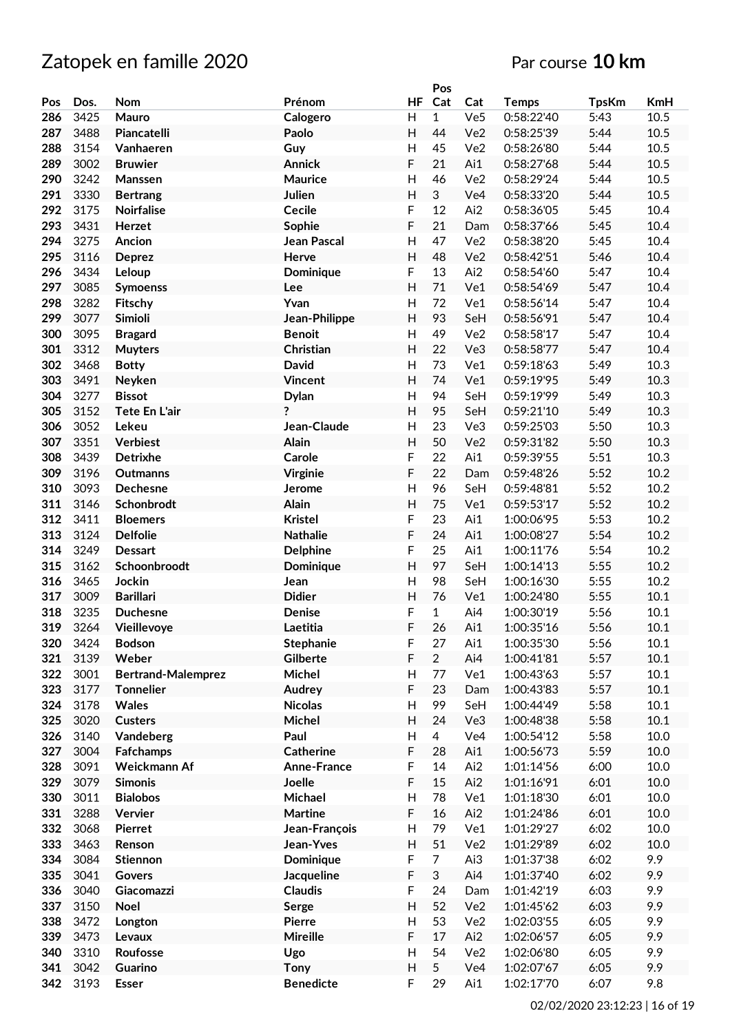|     |      |                           |                    |              | Pos            |                 |              |              |            |
|-----|------|---------------------------|--------------------|--------------|----------------|-----------------|--------------|--------------|------------|
| Pos | Dos. | Nom                       | Prénom             | <b>HF</b>    | Cat            | Cat             | <b>Temps</b> | <b>TpsKm</b> | <b>KmH</b> |
| 286 | 3425 | Mauro                     | Calogero           | H            | $\mathbf{1}$   | Ve5             | 0:58:22'40   | 5:43         | 10.5       |
| 287 | 3488 | Piancatelli               | Paolo              | H            | 44             | Ve <sub>2</sub> | 0:58:25'39   | 5:44         | 10.5       |
| 288 | 3154 | Vanhaeren                 | Guy                | H            | 45             | Ve <sub>2</sub> | 0:58:26'80   | 5:44         | 10.5       |
| 289 | 3002 | <b>Bruwier</b>            | <b>Annick</b>      | F            | 21             | Ai1             | 0:58:27'68   | 5:44         | 10.5       |
|     |      |                           |                    |              |                |                 |              |              |            |
| 290 | 3242 | Manssen                   | <b>Maurice</b>     | H            | 46             | Ve <sub>2</sub> | 0:58:29'24   | 5:44         | 10.5       |
| 291 | 3330 | <b>Bertrang</b>           | Julien             | Η            | 3              | Ve4             | 0:58:33'20   | 5:44         | 10.5       |
| 292 | 3175 | <b>Noirfalise</b>         | <b>Cecile</b>      | F            | 12             | Ai2             | 0:58:36'05   | 5:45         | 10.4       |
| 293 | 3431 | Herzet                    | Sophie             | F            | 21             | Dam             | 0:58:37'66   | 5:45         | 10.4       |
| 294 | 3275 | Ancion                    | <b>Jean Pascal</b> | Η            | 47             | Ve <sub>2</sub> | 0:58:38'20   | 5:45         | 10.4       |
| 295 | 3116 | <b>Deprez</b>             | Herve              | H            | 48             | Ve <sub>2</sub> | 0:58:42'51   | 5:46         | 10.4       |
| 296 | 3434 | Leloup                    | Dominique          | F            | 13             | Ai2             | 0:58:54'60   | 5:47         | 10.4       |
| 297 | 3085 | <b>Symoenss</b>           | Lee                | H            | 71             | Ve1             | 0:58:54'69   | 5:47         | 10.4       |
| 298 | 3282 | Fitschy                   | Yvan               | H            | 72             | Ve1             | 0:58:56'14   | 5:47         | 10.4       |
| 299 | 3077 | Simioli                   | Jean-Philippe      | H            | 93             | SeH             | 0:58:56'91   | 5:47         | 10.4       |
| 300 | 3095 | <b>Bragard</b>            | <b>Benoit</b>      | H            | 49             | Ve2             | 0:58:58'17   | 5:47         | 10.4       |
| 301 | 3312 |                           |                    | H            |                |                 |              |              | 10.4       |
|     |      | <b>Muyters</b>            | Christian          |              | 22             | Ve3             | 0:58:58'77   | 5:47         |            |
| 302 | 3468 | <b>Botty</b>              | David              | Н            | 73             | Ve1             | 0:59:18'63   | 5:49         | 10.3       |
| 303 | 3491 | Neyken                    | <b>Vincent</b>     | H            | 74             | Ve1             | 0:59:19'95   | 5:49         | 10.3       |
| 304 | 3277 | <b>Bissot</b>             | <b>Dylan</b>       | H            | 94             | SeH             | 0:59:19'99   | 5:49         | 10.3       |
| 305 | 3152 | <b>Tete En L'air</b>      | ?                  | H            | 95             | SeH             | 0:59:21'10   | 5:49         | 10.3       |
| 306 | 3052 | Lekeu                     | Jean-Claude        | H            | 23             | Ve3             | 0:59:25'03   | 5:50         | 10.3       |
| 307 | 3351 | <b>Verbiest</b>           | Alain              | $\mathsf{H}$ | 50             | Ve <sub>2</sub> | 0:59:31'82   | 5:50         | 10.3       |
| 308 | 3439 | <b>Detrixhe</b>           | Carole             | F            | 22             | Ai1             | 0:59:39'55   | 5:51         | 10.3       |
| 309 | 3196 | Outmanns                  | <b>Virginie</b>    | F            | 22             | Dam             | 0:59:48'26   | 5:52         | 10.2       |
| 310 | 3093 | Dechesne                  | Jerome             | H            | 96             | SeH             | 0:59:48'81   | 5:52         | 10.2       |
| 311 | 3146 | Schonbrodt                | Alain              | Η            | 75             | Ve1             | 0:59:53'17   | 5:52         | 10.2       |
| 312 | 3411 | <b>Bloemers</b>           | <b>Kristel</b>     | F            | 23             | Ai1             | 1:00:06'95   | 5:53         | 10.2       |
| 313 | 3124 | <b>Delfolie</b>           | <b>Nathalie</b>    | F            | 24             | Ai1             | 1:00:08'27   | 5:54         | 10.2       |
| 314 | 3249 | <b>Dessart</b>            | <b>Delphine</b>    | F            | 25             | Ai1             | 1:00:11'76   | 5:54         | 10.2       |
| 315 | 3162 |                           |                    | H            | 97             | SeH             | 1:00:14'13   | 5:55         | 10.2       |
|     |      | Schoonbroodt              | Dominique          |              |                |                 |              |              |            |
| 316 | 3465 | Jockin                    | Jean               | $\mathsf{H}$ | 98             | SeH             | 1:00:16'30   | 5:55         | 10.2       |
| 317 | 3009 | <b>Barillari</b>          | <b>Didier</b>      | $\mathsf{H}$ | 76             | Ve1             | 1:00:24'80   | 5:55         | $10.1\,$   |
| 318 | 3235 | <b>Duchesne</b>           | Denise             | F            | $\mathbf{1}$   | Ai4             | 1:00:30'19   | 5:56         | 10.1       |
| 319 | 3264 | Vieillevoye               | Laetitia           | F            | 26             | Ai1             | 1:00:35'16   | 5:56         | 10.1       |
| 320 | 3424 | <b>Bodson</b>             | Stephanie          | F            | 27             | Ai1             | 1:00:35'30   | 5:56         | 10.1       |
| 321 | 3139 | Weber                     | Gilberte           | F            | $\overline{2}$ | Ai4             | 1:00:41'81   | 5:57         | 10.1       |
| 322 | 3001 | <b>Bertrand-Malemprez</b> | Michel             | н            | 77             | Ve1             | 1:00:43'63   | 5:57         | $10.1\,$   |
| 323 | 3177 | <b>Tonnelier</b>          | Audrey             | F            | 23             | Dam             | 1:00:43'83   | 5:57         | 10.1       |
| 324 | 3178 | Wales                     | <b>Nicolas</b>     | H            | 99             | SeH             | 1:00:44'49   | 5:58         | $10.1\,$   |
| 325 | 3020 | <b>Custers</b>            | Michel             | H            | 24             | Ve3             | 1:00:48'38   | 5:58         | $10.1\,$   |
| 326 | 3140 | Vandeberg                 | Paul               | Н            | 4              | Ve4             | 1:00:54'12   | 5:58         | $10.0\,$   |
| 327 | 3004 | <b>Fafchamps</b>          | <b>Catherine</b>   | F            | 28             | Ai1             | 1:00:56'73   | 5:59         | 10.0       |
| 328 | 3091 | Weickmann Af              | Anne-France        | F            | 14             | Ai2             | 1:01:14'56   | 6:00         | $10.0\,$   |
| 329 | 3079 | <b>Simonis</b>            | Joelle             | F            | 15             | Ai2             | 1:01:16'91   | 6:01         | 10.0       |
| 330 | 3011 | <b>Bialobos</b>           | Michael            | Н            | 78             | Ve1             | 1:01:18'30   | 6:01         | $10.0\,$   |
| 331 | 3288 | Vervier                   | <b>Martine</b>     | F            | 16             | Ai2             | 1:01:24'86   | 6:01         | 10.0       |
| 332 |      |                           |                    |              | 79             |                 |              |              |            |
|     | 3068 | Pierret                   | Jean-François      | Н            |                | Ve1             | 1:01:29'27   | 6:02         | 10.0       |
| 333 | 3463 | Renson                    | Jean-Yves          | H            | 51             | Ve2             | 1:01:29'89   | 6:02         | 10.0       |
| 334 | 3084 | Stiennon                  | Dominique          | F            | $\overline{7}$ | Ai3             | 1:01:37'38   | 6:02         | 9.9        |
| 335 | 3041 | Govers                    | <b>Jacqueline</b>  | F            | $\sqrt{3}$     | Ai4             | 1:01:37'40   | 6:02         | 9.9        |
| 336 | 3040 | Giacomazzi                | <b>Claudis</b>     | F            | 24             | Dam             | 1:01:42'19   | 6:03         | 9.9        |
| 337 | 3150 | <b>Noel</b>               | Serge              | Н            | 52             | Ve2             | 1:01:45'62   | 6:03         | 9.9        |
| 338 | 3472 | Longton                   | Pierre             | H            | 53             | Ve2             | 1:02:03'55   | 6:05         | 9.9        |
| 339 | 3473 | Levaux                    | Mireille           | F            | $17$           | Ai2             | 1:02:06'57   | 6:05         | 9.9        |
| 340 | 3310 | Roufosse                  | Ugo                | H            | 54             | Ve2             | 1:02:06'80   | 6:05         | 9.9        |
| 341 | 3042 | Guarino                   | Tony               | H            | 5              | Ve4             | 1:02:07'67   | 6:05         | 9.9        |
| 342 | 3193 | <b>Esser</b>              | <b>Benedicte</b>   | F            | 29             | Ai1             | 1:02:17'70   | 6:07         | 9.8        |
|     |      |                           |                    |              |                |                 |              |              |            |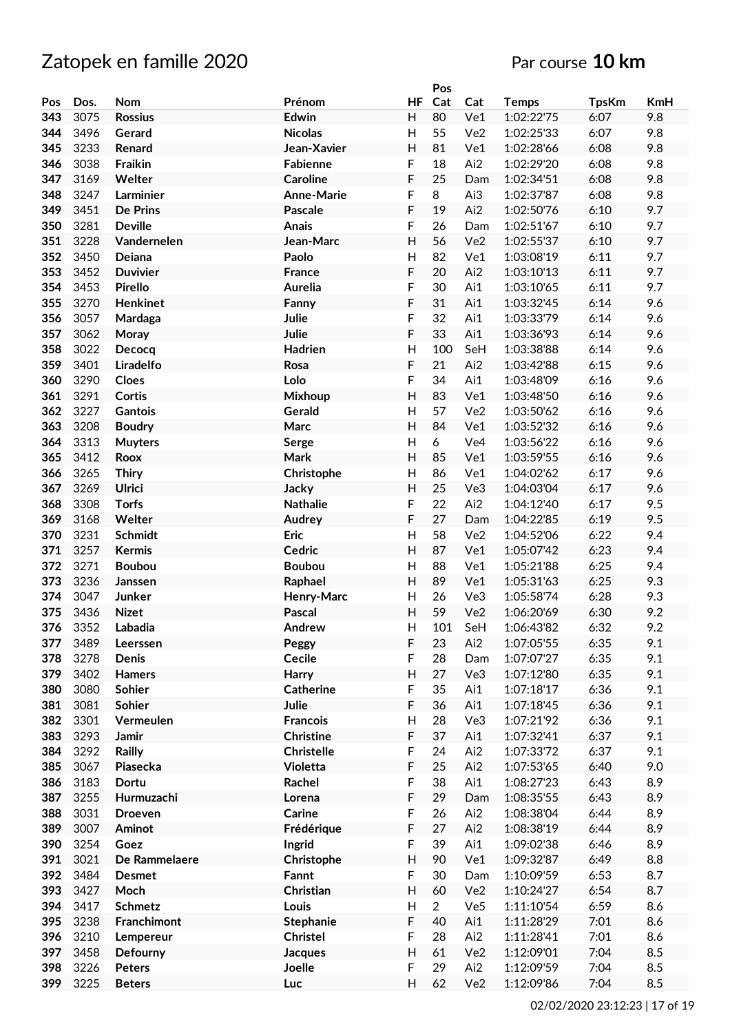|     |      |                  |                   |                | Pos            |                 |              |              |            |
|-----|------|------------------|-------------------|----------------|----------------|-----------------|--------------|--------------|------------|
| Pos | Dos. | Nom              | Prénom            | HF             | Cat            | Cat             | <b>Temps</b> | <b>TpsKm</b> | <b>KmH</b> |
| 343 | 3075 | <b>Rossius</b>   | Edwin             | H              | 80             | Ve1             | 1:02:22'75   | 6:07         | 9.8        |
| 344 | 3496 | Gerard           | <b>Nicolas</b>    | $\mathsf{H}$   | 55             | Ve <sub>2</sub> | 1:02:25'33   | 6:07         | 9.8        |
| 345 | 3233 | Renard           | Jean-Xavier       | H              | 81             | Ve1             | 1:02:28'66   | 6:08         | 9.8        |
| 346 | 3038 | <b>Fraikin</b>   | Fabienne          | F              | 18             | Ai2             | 1:02:29'20   | 6:08         | 9.8        |
| 347 | 3169 | Welter           | <b>Caroline</b>   | F              | 25             | Dam             | 1:02:34'51   | 6:08         | 9.8        |
| 348 | 3247 | Larminier        | <b>Anne-Marie</b> | F              | 8              | Ai3             | 1:02:37'87   | 6:08         | 9.8        |
| 349 | 3451 | De Prins         | Pascale           | F              | 19             | Ai2             | 1:02:50'76   | 6:10         | 9.7        |
| 350 | 3281 | <b>Deville</b>   | <b>Anais</b>      | F              | 26             | Dam             | 1:02:51'67   | 6:10         | 9.7        |
| 351 | 3228 | Vandernelen      | Jean-Marc         | H              | 56             | Ve2             | 1:02:55'37   | 6:10         | 9.7        |
| 352 | 3450 | Deiana           | Paolo             | $\overline{H}$ | 82             | Ve1             | 1:03:08'19   | 6:11         | 9.7        |
| 353 | 3452 | <b>Duvivier</b>  | <b>France</b>     | F              | 20             | Ai2             | 1:03:10'13   | 6:11         | 9.7        |
| 354 | 3453 | <b>Pirello</b>   | <b>Aurelia</b>    | F              | 30             | Ai1             | 1:03:10'65   | 6:11         | 9.7        |
| 355 | 3270 | <b>Henkinet</b>  | Fanny             | F              | 31             | Ai1             | 1:03:32'45   | 6:14         | 9.6        |
| 356 | 3057 |                  | Julie             | F              | 32             | Ai1             | 1:03:33'79   | 6:14         | 9.6        |
| 357 | 3062 | Mardaga          | Julie             | F              | 33             | Ai1             | 1:03:36'93   | 6:14         | 9.6        |
| 358 | 3022 | Moray<br>Decocq  |                   | $\mathsf{H}$   | 100            |                 |              | 6:14         | 9.6        |
|     |      |                  | Hadrien           |                |                | SeH             | 1:03:38'88   |              | 9.6        |
| 359 | 3401 | <b>Liradelfo</b> | Rosa              | F              | 21             | Ai2             | 1:03:42'88   | 6:15         |            |
| 360 | 3290 | Cloes            | Lolo              | F              | 34             | Ai1             | 1:03:48'09   | 6:16         | 9.6        |
| 361 | 3291 | Cortis           | Mixhoup           | H              | 83             | Ve1             | 1:03:48'50   | 6:16         | 9.6        |
| 362 | 3227 | Gantois          | Gerald            | H              | 57             | Ve <sub>2</sub> | 1:03:50'62   | 6:16         | 9.6        |
| 363 | 3208 | <b>Boudry</b>    | Marc              | H              | 84             | Ve1             | 1:03:52'32   | 6:16         | 9.6        |
| 364 | 3313 | <b>Muyters</b>   | Serge             | H              | 6              | Ve <sub>4</sub> | 1:03:56'22   | 6:16         | 9.6        |
| 365 | 3412 | <b>Roox</b>      | <b>Mark</b>       | H              | 85             | Ve1             | 1:03:59'55   | 6:16         | 9.6        |
| 366 | 3265 | <b>Thiry</b>     | Christophe        | H              | 86             | Ve1             | 1:04:02'62   | 6:17         | 9.6        |
| 367 | 3269 | <b>Ulrici</b>    | Jacky             | H              | 25             | Ve3             | 1:04:03'04   | 6:17         | 9.6        |
| 368 | 3308 | <b>Torfs</b>     | <b>Nathalie</b>   | F              | 22             | Ai2             | 1:04:12'40   | 6:17         | 9.5        |
| 369 | 3168 | Welter           | Audrey            | F              | 27             | Dam             | 1:04:22'85   | 6:19         | 9.5        |
| 370 | 3231 | <b>Schmidt</b>   | <b>Eric</b>       | $\mathsf{H}$   | 58             | Ve2             | 1:04:52'06   | 6:22         | 9.4        |
| 371 | 3257 | <b>Kermis</b>    | Cedric            | H              | 87             | Ve1             | 1:05:07'42   | 6:23         | 9.4        |
| 372 | 3271 | <b>Boubou</b>    | <b>Boubou</b>     | H              | 88             | Ve1             | 1:05:21'88   | 6:25         | 9.4        |
| 373 | 3236 | Janssen          | Raphael           | H              | 89             | Ve1             | 1:05:31'63   | 6:25         | 9.3        |
| 374 | 3047 | Junker           | Henry-Marc        | H              | 26             | Ve3             | 1:05:58'74   | 6:28         | 9.3        |
| 375 | 3436 | <b>Nizet</b>     | <b>Pascal</b>     | H              | 59             | Ve <sub>2</sub> | 1:06:20'69   | 6:30         | 9.2        |
| 376 | 3352 | Labadia          | Andrew            | $\overline{H}$ | 101            | SeH             | 1:06:43'82   | 6:32         | 9.2        |
| 377 | 3489 | Leerssen         | Peggy             | F              | 23             | Ai2             | 1:07:05'55   | 6:35         | 9.1        |
| 378 | 3278 | <b>Denis</b>     | Cecile            | F              | 28             | Dam             | 1:07:07'27   | 6:35         | 9.1        |
| 379 | 3402 | <b>Hamers</b>    | Harry             | H              | 27             | Ve3             | 1:07:12'80   | 6:35         | 9.1        |
| 380 | 3080 | Sohier           | <b>Catherine</b>  | F              | 35             | Ai1             | 1:07:18'17   | 6:36         | 9.1        |
| 381 | 3081 | Sohier           | Julie             | F              | 36             | Ai1             | 1:07:18'45   | 6:36         | 9.1        |
| 382 | 3301 | Vermeulen        | <b>Francois</b>   | Н              | 28             | Ve3             | 1:07:21'92   | 6:36         | 9.1        |
| 383 | 3293 | Jamir            | <b>Christine</b>  | F              | 37             | Ai1             | 1:07:32'41   | 6:37         | 9.1        |
| 384 | 3292 | Railly           | <b>Christelle</b> | F              | 24             | Ai2             | 1:07:33'72   | 6:37         | 9.1        |
| 385 | 3067 | Piasecka         | Violetta          | F              | 25             | Ai2             | 1:07:53'65   | 6:40         | 9.0        |
| 386 | 3183 | Dortu            | Rachel            | F              | 38             | Ai1             | 1:08:27'23   | 6:43         | 8.9        |
| 387 | 3255 | Hurmuzachi       | Lorena            | F              | 29             | Dam             | 1:08:35'55   | 6:43         | 8.9        |
| 388 | 3031 | <b>Droeven</b>   | Carine            | F              | 26             | Ai2             | 1:08:38'04   | 6:44         | 8.9        |
| 389 | 3007 | Aminot           | Frédérique        | F              | 27             | Ai2             | 1:08:38'19   | 6:44         | 8.9        |
| 390 | 3254 | Goez             | Ingrid            | F              | 39             | Ai1             | 1:09:02'38   | 6:46         | 8.9        |
| 391 | 3021 | De Rammelaere    | Christophe        | H              | 90             | Ve1             | 1:09:32'87   | 6:49         | 8.8        |
| 392 | 3484 | <b>Desmet</b>    | Fannt             | F              | 30             | Dam             | 1:10:09'59   | 6:53         | 8.7        |
| 393 | 3427 | Moch             | Christian         | H              | 60             | Ve2             | 1:10:24'27   | 6:54         | 8.7        |
| 394 | 3417 | <b>Schmetz</b>   | Louis             | H              | $\overline{2}$ | Ve <sub>5</sub> | 1:11:10'54   | 6:59         | 8.6        |
| 395 | 3238 | Franchimont      | <b>Stephanie</b>  | F              | 40             | Ai1             | 1:11:28'29   | 7:01         | 8.6        |
| 396 | 3210 | Lempereur        | <b>Christel</b>   | F              | 28             | Ai2             | 1:11:28'41   | 7:01         | 8.6        |
| 397 | 3458 | Defourny         | Jacques           | H              | 61             | Ve2             | 1:12:09'01   | 7:04         | 8.5        |
| 398 | 3226 | <b>Peters</b>    | Joelle            | F              | 29             | Ai2             | 1:12:09'59   | 7:04         | 8.5        |
| 399 | 3225 | <b>Beters</b>    | Luc               | H              | 62             | Ve2             | 1:12:09'86   | 7:04         | 8.5        |